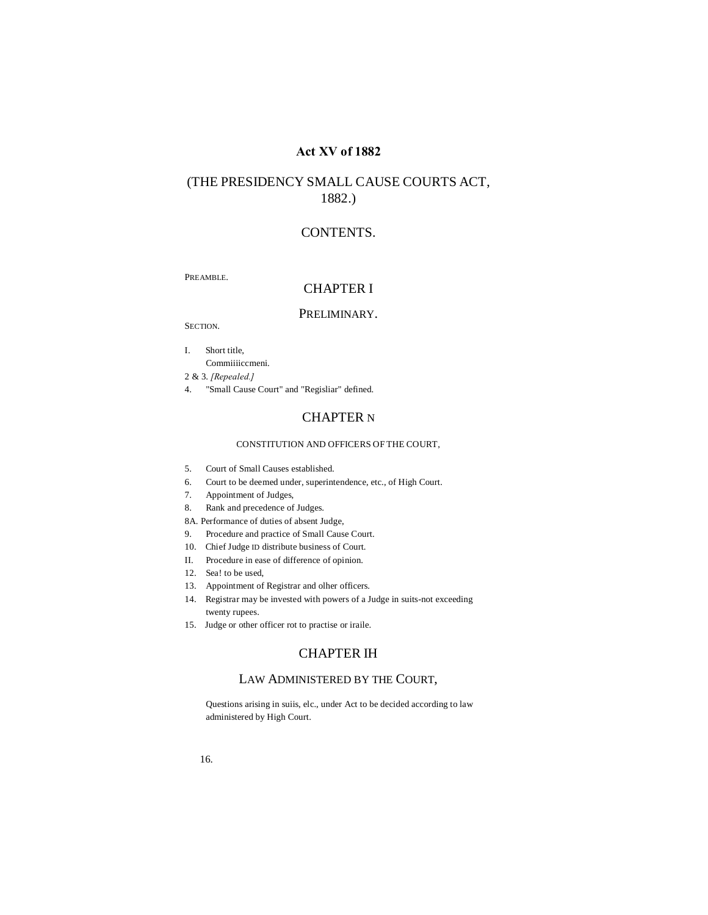# **Act XV of 1882**

# (THE PRESIDENCY SMALL CAUSE COURTS ACT, 1882.)

# CONTENTS.

PREAMBLE.

# CHAPTER I

### PRELIMINARY.

SECTION.

I. Short title,

Commiiiiccmeni.

2 & 3. *[Repealed.]*

4. "Small Cause Court" and "Regisliar" defined.

# CHAPTER N

### CONSTITUTION AND OFFICERS OF THE COURT,

- 5. Court of Small Causes established.
- 6. Court to be deemed under, superintendence, etc., of High Court.
- 7. Appointment of Judges,
- 8. Rank and precedence of Judges.
- 8A. Performance of duties of absent Judge,
- 9. Procedure and practice of Small Cause Court.
- 10. Chief Judge ID distribute business of Court.
- II. Procedure in ease of difference of opinion.
- 12. Sea! to be used,
- 13. Appointment of Registrar and olher officers.
- 14. Registrar may be invested with powers of a Judge in suits-not exceeding twenty rupees.
- 15. Judge or other officer rot to practise or iraile.

# CHAPTER IH

# LAW ADMINISTERED BY THE COURT,

Questions arising in suiis, elc., under Act to be decided according to law administered by High Court.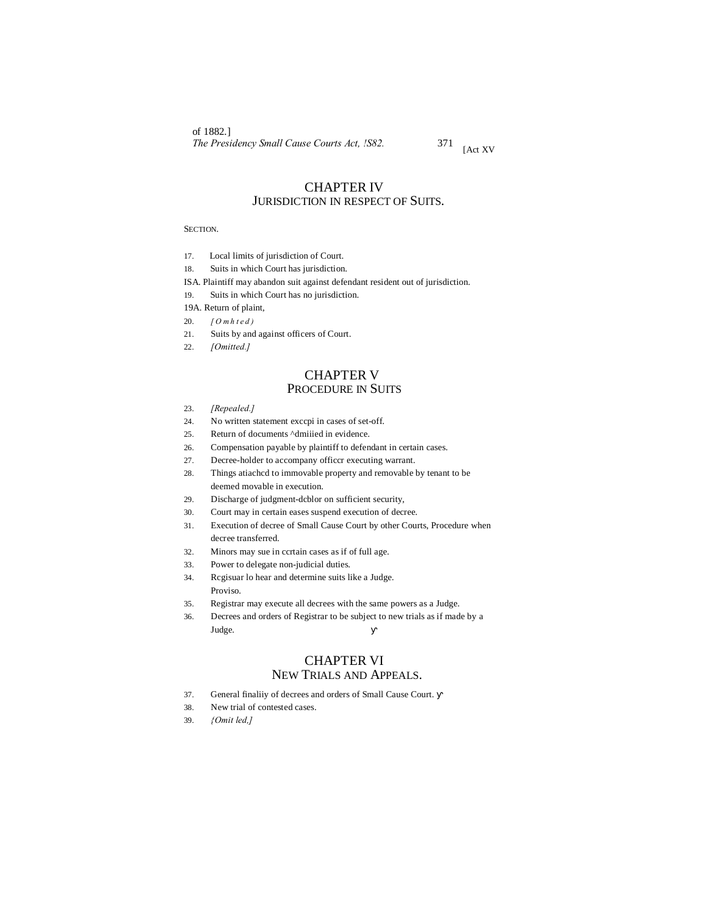of 1882.] *The Presidency Small Cause Courts Act, !S82.* <sup>371</sup> [Act XV

# CHAPTER IV JURISDICTION IN RESPECT OF SUITS.

### SECTION.

- 17. Local limits of jurisdiction of Court.
- 18. Suits in which Court has jurisdiction.
- ISA. Plaintiff may abandon suit against defendant resident out of jurisdiction.
- 19. Suits in which Court has no jurisdiction.
- 19A. Return of plaint,
- 20. *[ O m h t e d )*
- 21. Suits by and against officers of Court.
- 22. *[Omitted.]*

# CHAPTER V PROCEDURE IN SUITS

- 23. *[Repealed.]*
- 24. No written statement exccpi in cases of set-off.
- 25. Return of documents ^dmiiied in evidence.
- 26. Compensation payable by plaintiff to defendant in certain cases.
- 27. Decree-holder to accompany officcr executing warrant.
- 28. Things atiachcd to immovable property and removable by tenant to be deemed movable in execution.
- 29. Discharge of judgment-dcblor on sufficient security,
- 30. Court may in certain eases suspend execution of decree.
- 31. Execution of decree of Small Cause Court by other Courts, Procedure when decree transferred.
- 32. Minors may sue in ccrtain cases as if of full age.
- 33. Power to delegate non-judicial duties.
- 34. Rcgisuar lo hear and determine suits like a Judge. Proviso.
- 35. Registrar may execute all decrees with the same powers as a Judge.
- 36. Decrees and orders of Registrar to be subject to new trials as if made by a Judge.

# CHAPTER VI NEW TRIALS AND APPEALS.

- 37. General finaliiy of decrees and orders of Small Cause Court.
- 38. New trial of contested cases.
- 39. *{Omit led,]*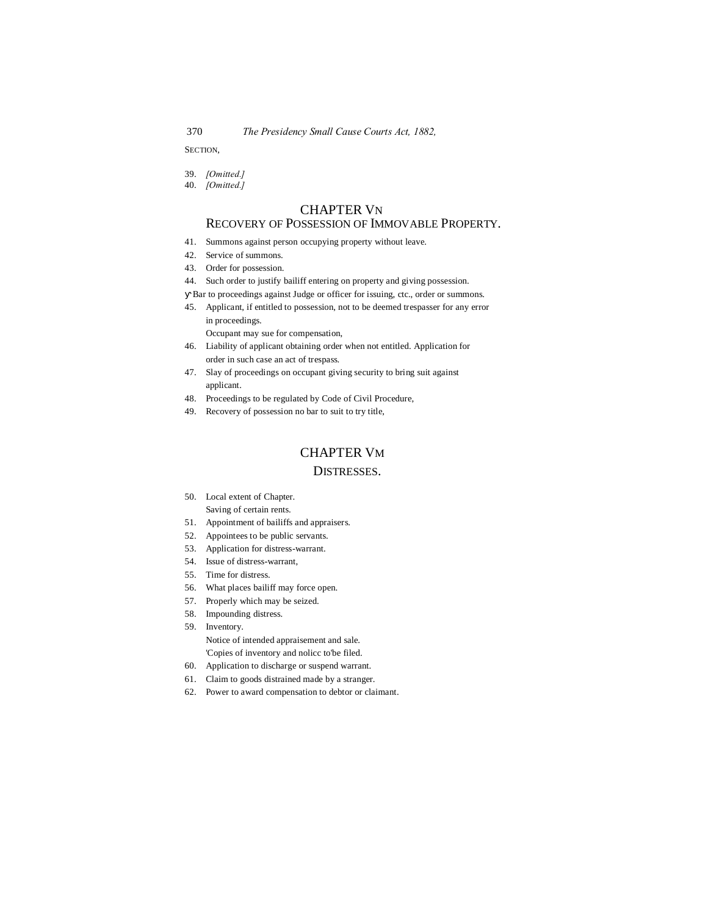SECTION,

- 39. *[Omitted.]*
- 40. *[Omitted.]*

# CHAPTER VN

# RECOVERY OF POSSESSION OF IMMOVABLE PROPERTY.

- 41. Summons against person occupying property without leave.
- 42. Service of summons.
- 43. Order for possession.
- 44. Such order to justify bailiff entering on property and giving possession. Bar to proceedings against Judge or officer for issuing, ctc., order or summons.
- 45. Applicant, if entitled to possession, not to be deemed trespasser for any error in proceedings.

Occupant may sue for compensation,

- 46. Liability of applicant obtaining order when not entitled. Application for order in such case an act of trespass.
- 47. Slay of proceedings on occupant giving security to bring suit against applicant.
- 48. Proceedings to be regulated by Code of Civil Procedure,
- 49. Recovery of possession no bar to suit to try title,

# CHAPTER VM

# DISTRESSES.

- 50. Local extent of Chapter. Saving of certain rents.
- 51. Appointment of bailiffs and appraisers.
- 52. Appointees to be public servants.
- 53. Application for distress-warrant.
- 54. Issue of distress-warrant,
- 55. Time for distress.
- 56. What places bailiff may force open.
- 57. Properly which may be seized.
- 58. Impounding distress.
- 59. Inventory. Notice of intended appraisement and sale. 'Copies of inventory and nolicc to'be filed.
- 60. Application to discharge or suspend warrant.
- 61. Claim to goods distrained made by a stranger.
- 62. Power to award compensation to debtor or claimant.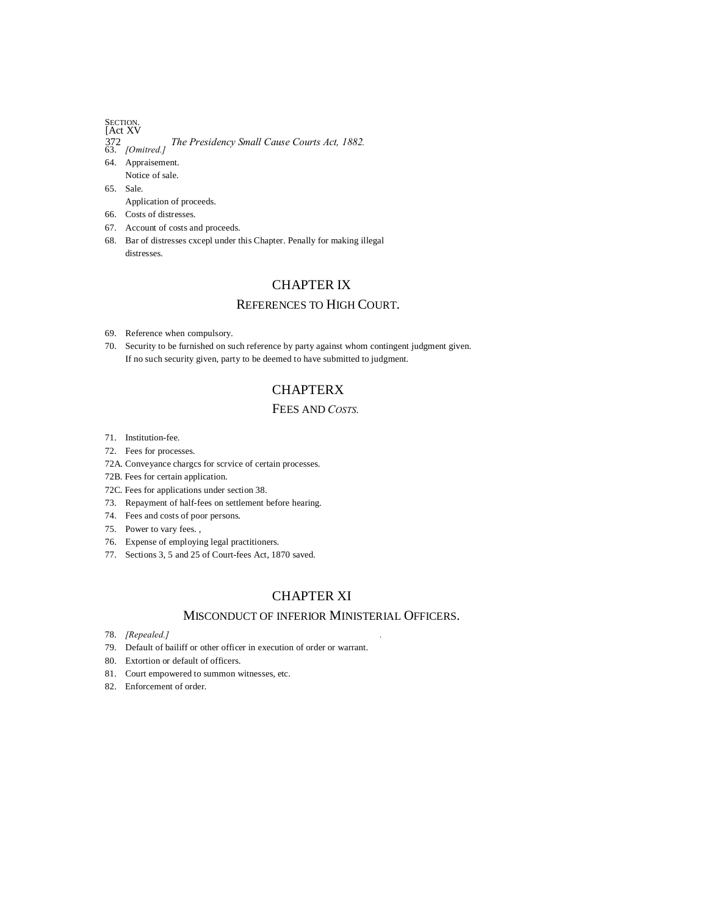# SECTION.<br>[Act XV

- 372 *The Presidency Small Cause Courts Act, 1882.* 63. *[Omitred.]*
- 64. Appraisement.
- Notice of sale. 65. Sale.
- Application of proceeds.
- 66. Costs of distresses.
- 67. Account of costs and proceeds.
- 68. Bar of distresses cxcepl under this Chapter. Penally for making illegal distresses.

# CHAPTER IX

# REFERENCES TO HIGH COURT.

- 69. Reference when compulsory.
- 70. Security to be furnished on such reference by party against whom contingent judgment given. If no such security given, party to be deemed to have submitted to judgment.

# **CHAPTERX**

# FEES AND *COSTS.*

- 71. Institution-fee.
- 72. Fees for processes.
- 72A. Conveyance chargcs for scrvice of certain processes.
- 72B. Fees for certain application.
- 72C. Fees for applications under section 38.
- 73. Repayment of half-fees on settlement before hearing.
- 74. Fees and costs of poor persons.
- 75. Power to vary fees. ,
- 76. Expense of employing legal practitioners.
- 77. Sections 3, 5 and 25 of Court-fees Act, 1870 saved.

# CHAPTER XI

# MISCONDUCT OF INFERIOR MINISTERIAL OFFICERS.

- 78. *[Repealed.] .*
- 79. Default of bailiff or other officer in execution of order or warrant.
- 80. Extortion or default of officers.
- 81. Court empowered to summon witnesses, etc.
- 82. Enforcement of order.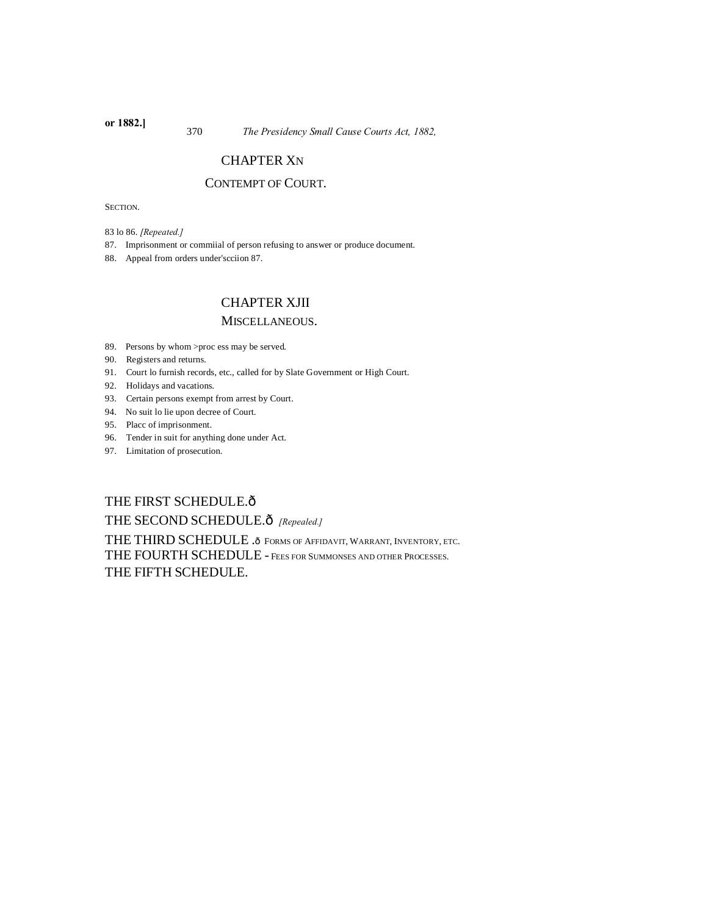<sup>370</sup> *The Presidency Small Cause Courts Act, 1882,* **or 1882.]**

# CHAPTER XN

# CONTEMPT OF COURT.

SECTION.

83 lo 86. *[Repeated.]*

87. Imprisonment or commiial of person refusing to answer or produce document.

88. Appeal from orders under'scciion 87.

# CHAPTER XJII

# MISCELLANEOUS.

- 89. Persons by whom >proc ess may be served.
- 90. Registers and returns.
- 91. Court lo furnish records, etc., called for by Slate Government or High Court.
- 92. Holidays and vacations.
- 93. Certain persons exempt from arrest by Court.
- 94. No suit lo lie upon decree of Court.
- 95. Placc of imprisonment.
- 96. Tender in suit for anything done under Act.
- 97. Limitation of prosecution.

# THE FIRST SCHEDULE. $\delta$

THE SECOND SCHEDULE. $\hat{O}$  [Repealed.]

THE THIRD SCHEDULE .  $\delta$  Forms of Affidavit, Warrant, Inventory, ETC. THE FOURTH SCHEDULE - FEES FOR SUMMONSES AND OTHER PROCESSES. THE FIFTH SCHEDULE.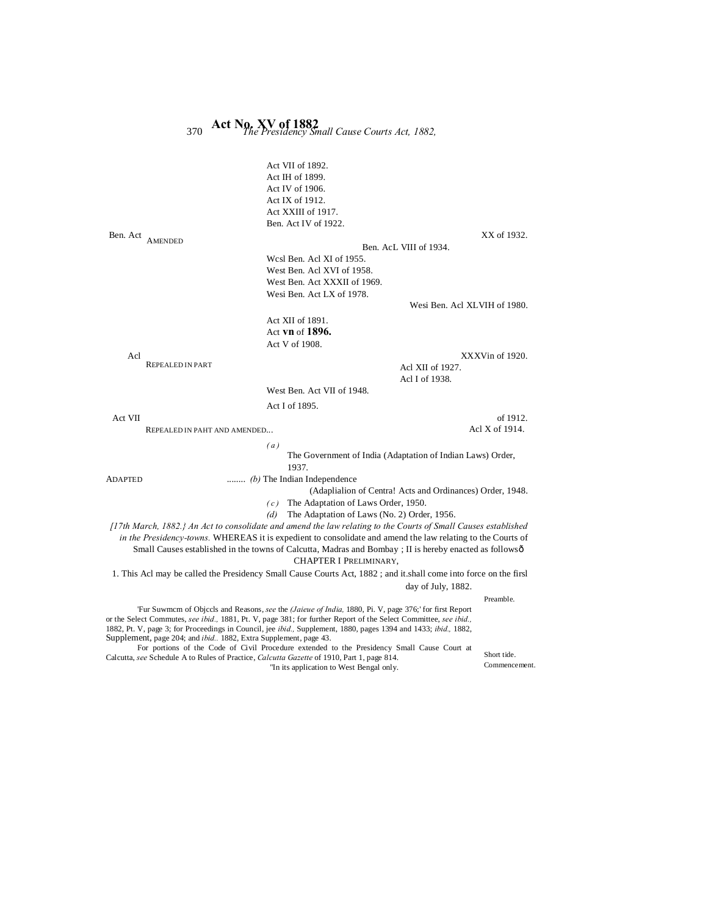| 370                                                                       | Act No. XV of 1882<br>The Presidency Small Cause Courts Act, 1882,                                                                                                                                                                                                                                                                                                                                                                                                              |
|---------------------------------------------------------------------------|---------------------------------------------------------------------------------------------------------------------------------------------------------------------------------------------------------------------------------------------------------------------------------------------------------------------------------------------------------------------------------------------------------------------------------------------------------------------------------|
|                                                                           | Act VII of 1892.<br>Act IH of 1899.<br>Act IV of 1906.<br>Act IX of 1912.<br>Act XXIII of 1917.<br>Ben. Act IV of 1922.                                                                                                                                                                                                                                                                                                                                                         |
| Ben. Act<br><b>AMENDED</b>                                                | XX of 1932.<br>Ben. AcL VIII of 1934.                                                                                                                                                                                                                                                                                                                                                                                                                                           |
|                                                                           | Wesl Ben. Acl XI of 1955.<br>West Ben. Acl XVI of 1958.<br>West Ben. Act XXXII of 1969.<br>Wesi Ben. Act LX of 1978.                                                                                                                                                                                                                                                                                                                                                            |
|                                                                           | Wesi Ben. Acl XLVIH of 1980.                                                                                                                                                                                                                                                                                                                                                                                                                                                    |
|                                                                           | Act XII of 1891.<br>Act vn of $1896$ .<br>Act V of 1908.                                                                                                                                                                                                                                                                                                                                                                                                                        |
| Acl                                                                       | XXXVin of 1920.                                                                                                                                                                                                                                                                                                                                                                                                                                                                 |
| <b>REPEALED IN PART</b>                                                   | Acl XII of 1927.<br>Acl I of 1938.                                                                                                                                                                                                                                                                                                                                                                                                                                              |
|                                                                           | West Ben. Act VII of 1948.                                                                                                                                                                                                                                                                                                                                                                                                                                                      |
| Act VII<br>REPEALED IN PAHT AND AMENDED                                   | Act I of 1895.<br>of 1912.<br>Acl X of 1914.                                                                                                                                                                                                                                                                                                                                                                                                                                    |
|                                                                           | (a)                                                                                                                                                                                                                                                                                                                                                                                                                                                                             |
|                                                                           | The Government of India (Adaptation of Indian Laws) Order,<br>1937.                                                                                                                                                                                                                                                                                                                                                                                                             |
| ADAPTED                                                                   | $(b)$ The Indian Independence<br>(Adaplialion of Centra! Acts and Ordinances) Order, 1948.<br>The Adaptation of Laws Order, 1950.<br>(c)<br>The Adaptation of Laws (No. 2) Order, 1956.<br>(d)                                                                                                                                                                                                                                                                                  |
|                                                                           | [17th March, 1882.} An Act to consolidate and amend the law relating to the Courts of Small Causes established<br>in the Presidency-towns. WHEREAS it is expedient to consolidate and amend the law relating to the Courts of<br>Small Causes established in the towns of Calcutta, Madras and Bombay; II is hereby enacted as followsô<br>CHAPTER I PRELIMINARY,                                                                                                               |
|                                                                           | 1. This Acl may be called the Presidency Small Cause Courts Act, 1882; and it shall come into force on the firsl                                                                                                                                                                                                                                                                                                                                                                |
|                                                                           | day of July, 1882.                                                                                                                                                                                                                                                                                                                                                                                                                                                              |
| Supplement, page 204; and <i>ibid.</i> . 1882, Extra Supplement, page 43. | Preamble.<br>Fur Suwmem of Objects and Reasons, see the <i>(Jaieue of India, 1880</i> , Pi. V, page 376; for first Report<br>or the Select Commutes, see ibid., 1881, Pt. V, page 381; for further Report of the Select Committee, see ibid.,<br>1882, Pt. V, page 3; for Proceedings in Council, jee <i>ibid.</i> , Supplement, 1880, pages 1394 and 1433; <i>ibid.</i> , 1882,<br>For portions of the Code of Civil Procedure extended to the Presidency Small Cause Court at |

Calcutta, *see* Schedule A to Rules of Practice, *Calcutta Gazette* of 1910, Part 1, page 814. "In its application to West Bengal only.

Short tide. Commencement.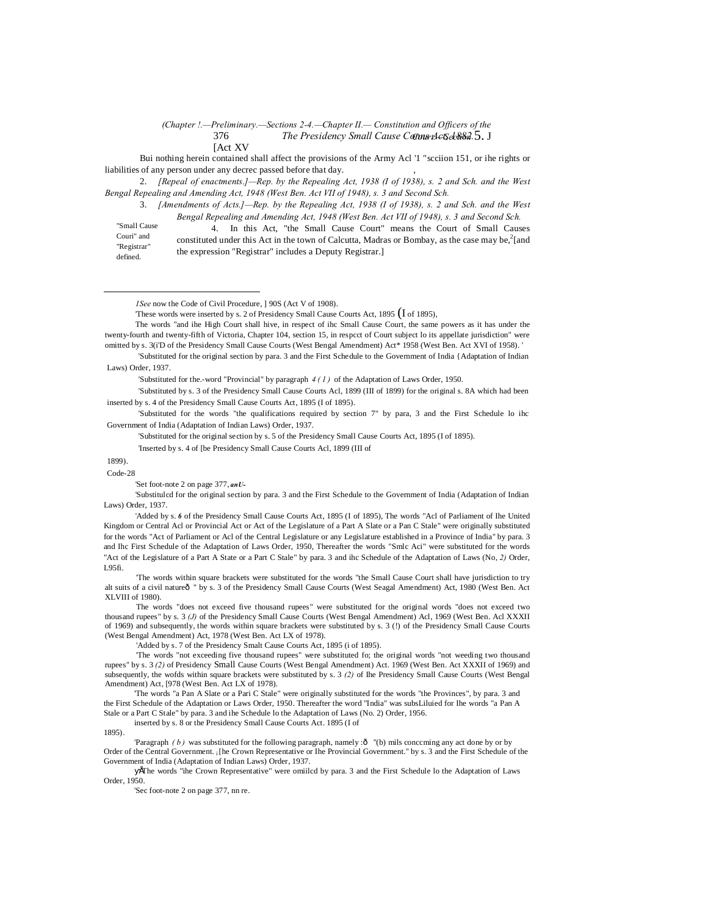### 376 *The Presidency Small Cause Come Act Seb882.5. J* [Act XV] *(Chapter !.—Preliminary.—Sections 2-4.—Chapter II.— Constitution and Officers of the*

Bui nothing herein contained shall affect the provisions of the Army Acl '1 "scciion 151, or ihe rights or liabilities of any person under any decrec passed before that day.

2. *[Repeal of enactments.]—Rep. by the Repealing Act, 1938 (I of 1938), s. 2 and Sch. and the West Bengal Repealing and Amending Act, 1948 (West Ben. Act VII of 1948), s. 3 and Second Sch.*

3. *[Amendments of Acts.]—Rep. by the Repealing Act, 1938 (I of 1938), s. 2 and Sch. and the West Bengal Repealing and Amending Act, 1948 (West Ben. Act VII of 1948), s. 3 and Second Sch.*

"Small Cause Couri" and "Registrar" defined.

 $\overline{a}$ 

4. In this Act, "the Small Cause Court" means the Court of Small Causes constituted under this Act in the town of Calcutta, Madras or Bombay, as the case may be,<sup>2</sup>[and the expression "Registrar" includes a Deputy Registrar.]

The words "and ihe High Court shall hive, in respect of ihc Small Cause Court, the same powers as it has under the twenty-fourth and twenty-fifth of Victoria, Chapter 104, section 15, in respcct of Court subject lo its appellate jurisdiction" were omitted by s. 3(i'D of the Presidency Small Cause Courts (West Bengal Amendment) Act\* 1958 (West Ben. Act XVI of 1958). '

'Substituted for the.-word "Provincial" by paragraph *4 ( 1 )* of the Adaptation of Laws Order, 1950.

'Substituted by s. 3 of the Presidency Small Cause Courts Acl, 1899 (III of 1899) for the original s. 8A which had been inserted by s. 4 of the Presidency Small Cause Courts Act, 1895 (I of 1895).

'Substituted for the words "the qualifications required by section 7" by para, 3 and the First Schedule lo ihc Government of India (Adaptation of Indian Laws) Order, 1937.

'Substituted for the original section by s. 5 of the Presidency Small Cause Courts Act, 1895 (I of 1895).

'Inserted by s. 4 of [be Presidency Small Cause Courts Acl, 1899 (III of

1899). Code-28

'Set foot-note 2 on page 377, *anU-*

'Substitulcd for the original section by para. 3 and the First Schedule to the Government of India (Adaptation of Indian Laws) Order, 1937.

'Added by s. 6 of the Presidency Small Cause Courts Act, 1895 (I of 1895), The words "Acl of Parliament of Ihe United Kingdom or Central Acl or Provincial Act or Act of the Legislature of a Part A Slate or a Pan C Stale" were originally substituted for the words "Act of Parliament or Acl of the Central Legislature or any Legislature established in a Province of India" by para. 3 and Ihc First Schedule of the Adaptation of Laws Order, 1950, Thereafter the words "Smlc Aci" were substituted for the words "Act of the Legislature of a Part A State or a Part C Stale" by para. 3 and ihc Schedule of the Adaptation of Laws (No, *2)* Order, L95fi.

'The words within square brackets were substituted for the words "the Small Cause Court shall have jurisdiction to try alt suits of a civil natureô " by s. 3 of the Presidency Small Cause Courts (West Seagal Amendment) Act, 1980 (West Ben. Act XLVIII of 1980).

The words "does not exceed five thousand rupees" were substituted for the original words "does not exceed two thousand rupees" by s. 3 *(J)* of the Presidency Small Cause Courts (West Bengal Amendment) Acl, 1969 (West Ben. Acl XXXII of 1969) and subsequently, the words within square brackets were substituted by s. 3 (!) of the Presidency Small Cause Courts (West Bengal Amendment) Act, 1978 (West Ben. Act LX of 1978).

'Added by s. 7 of the Presidency Smalt Cause Courts Act, 1895 (i of 1895).

'The words "not exceeding five thousand rupees" were substituted fo; the original words "not weeding two thousand rupees" by s. 3 *(2)* of Presidency Small Cause Courts (West Bengal Amendment) Act. 1969 (West Ben. Act XXXII of 1969) and subsequently, the wofds within square brackets were substituted by s. 3 *(2)* of Ihe Presidency Small Cause Courts (West Bengal Amendment) Act, [978 (West Ben. Act LX of 1978).

'The words "a Pan A Slate or a Pari C Stale" were originally substituted for the words "the Provinces", by para. 3 and the First Schedule of the Adaptation or Laws Order, 1950. Thereafter the word "India" was subsLiluied for Ihe words "a Pan A Stale or a Part C Stale" by para. 3 and ihe Schedule lo the Adaptation of Laws (No. 2) Order, 1956.

inserted by s. 8 or the Presidency Small Cause Courts Act. 1895 (I of

1895).

'Paragraph *(b)* was substituted for the following paragraph, namely :ô "(b) mils concerning any act done by or by Order of the Central Government. i [he Crown Representative or Ihe Provincial Government." by s. 3 and the First Schedule of the Government of India (Adaptation of Indian Laws) Order, 1937.

•The words "ihe Crown Representative" were omiilcd by para. 3 and the First Schedule lo the Adaptation of Laws Order, 1950.

'Sec foot-note 2 on page 377, nn re.

*<sup>1</sup>See* now the Code of Civil Procedure, ] 90S (Act V of 1908).

These words were inserted by s. 2 of Presidency Small Cause Courts Act, 1895 (I of 1895),

<sup>&#</sup>x27;Substituted for the original section by para. 3 and the First Schedule to the Government of India {Adaptation of Indian Laws) Order, 1937.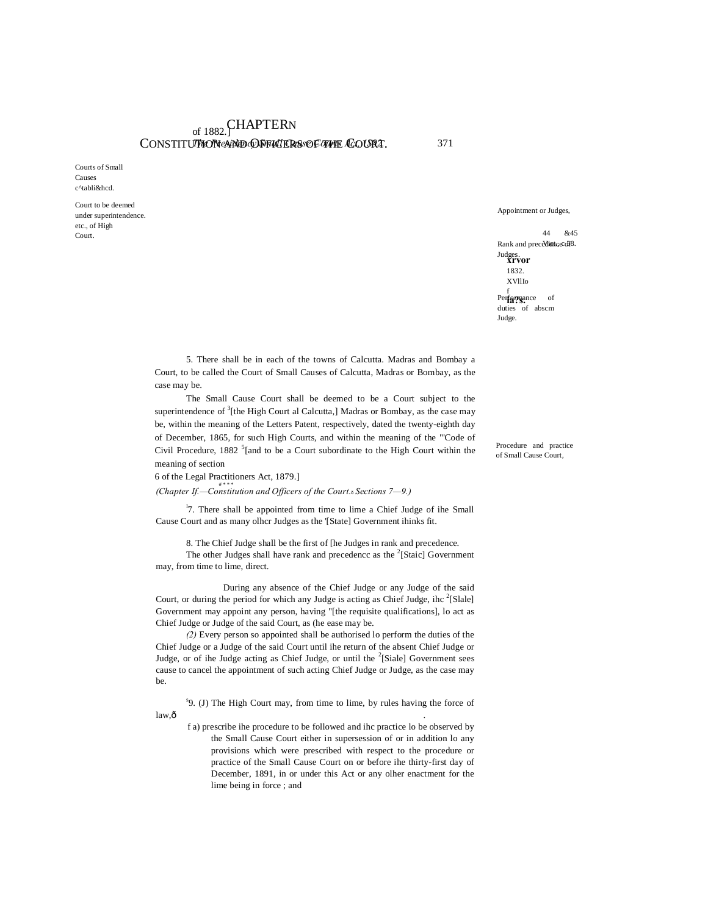# of 1882. CHAPTERN CONSTITUTION eNNED OF FILL ERS OF THE COURT. 371

Courts of Small Causes c^tabli&hcd.

Court to be deemed under superintendence. etc., of High Court.

Appointment or Judges,

44 &45 Rank and precedient cons8. **xrvor** Judges. 1832. XVllIo Performance of duties of abscm Judge.

5. There shall be in each of the towns of Calcutta. Madras and Bombay a Court, to be called the Court of Small Causes of Calcutta, Madras or Bombay, as the case may be.

The Small Cause Court shall be deemed to be a Court subject to the superintendence of  $3$ [the High Court al Calcutta,] Madras or Bombay, as the case may be, within the meaning of the Letters Patent, respectively, dated the twenty-eighth day of December, 1865, for such High Courts, and within the meaning of the "'Code of Civil Procedure, 1882<sup>5</sup> [and to be a Court subordinate to the High Court within the meaning of section

### 6 of the Legal Practitioners Act, 1879.]

# # \* \* \* *(Chapter If.—Constitution and Officers of the Court.*—*Sections 7—9.)*

<sup>1</sup>7. There shall be appointed from time to lime a Chief Judge of ihe Small Cause Court and as many olhcr Judges as the '[State] Government ihinks fit.

8. The Chief Judge shall be the first of [he Judges in rank and precedence.

The other Judges shall have rank and precedence as the  $2$ [Staic] Government may, from time to lime, direct.

During any absence of the Chief Judge or any Judge of the said Court, or during the period for which any Judge is acting as Chief Judge, ihc  $2$ [Slale] Government may appoint any person, having "[the requisite qualifications], lo act as Chief Judge or Judge of the said Court, as (he ease may be.

*(2)* Every person so appointed shall be authorised lo perform the duties of the Chief Judge or a Judge of the said Court until ihe return of the absent Chief Judge or Judge, or of ihe Judge acting as Chief Judge, or until the <sup>2</sup>[Siale] Government sees cause to cancel the appointment of such acting Chief Judge or Judge, as the case may be.

s 9. (J) The High Court may, from time to lime, by rules having the force of  $\lambda = \lambda$  . The set of  $\lambda$  is the set of  $\lambda$  is the set of  $\lambda$  is the set of  $\lambda$  is the set of  $\lambda$  is the set of  $\lambda$  is the set of  $\lambda$  is the set of  $\lambda$  is the set of  $\lambda$  is the set of  $\lambda$  is the set of  $\lambda$  is th

f a) prescribe ihe procedure to be followed and ihc practice lo be observed by the Small Cause Court either in supersession of or in addition lo any provisions which were prescribed with respect to the procedure or practice of the Small Cause Court on or before ihe thirty-first day of December, 1891, in or under this Act or any olher enactment for the lime being in force ; and

Procedure and practice of Small Cause Court,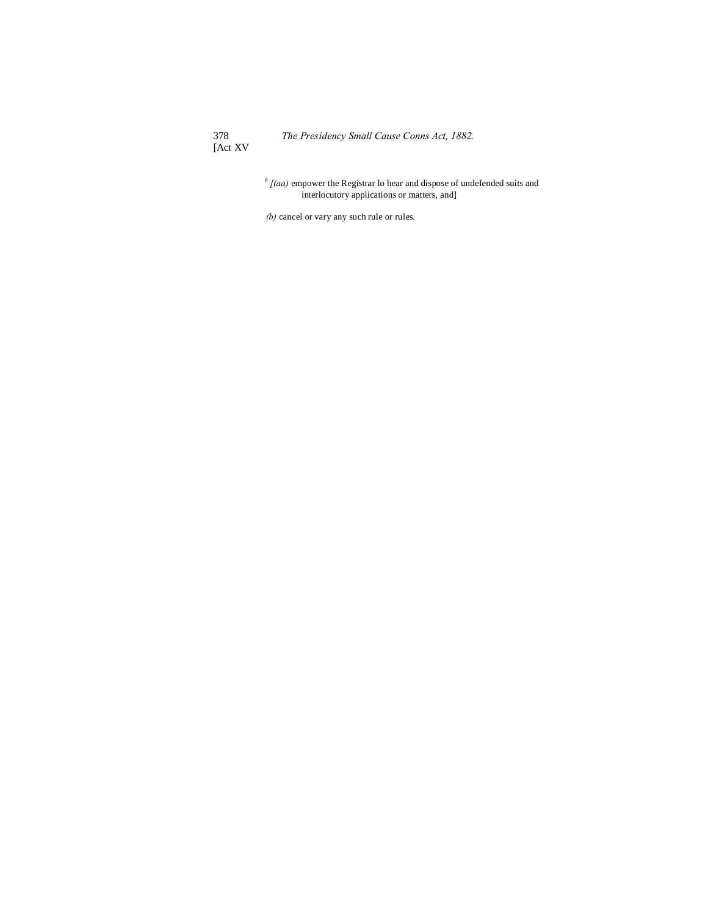378<br>[Act XV

*<sup>6</sup> [(aa)* empower the Registrar lo hear and dispose of undefended suits and interlocutory applications or matters, and]

*(b)* cancel or vary any such rule or rules.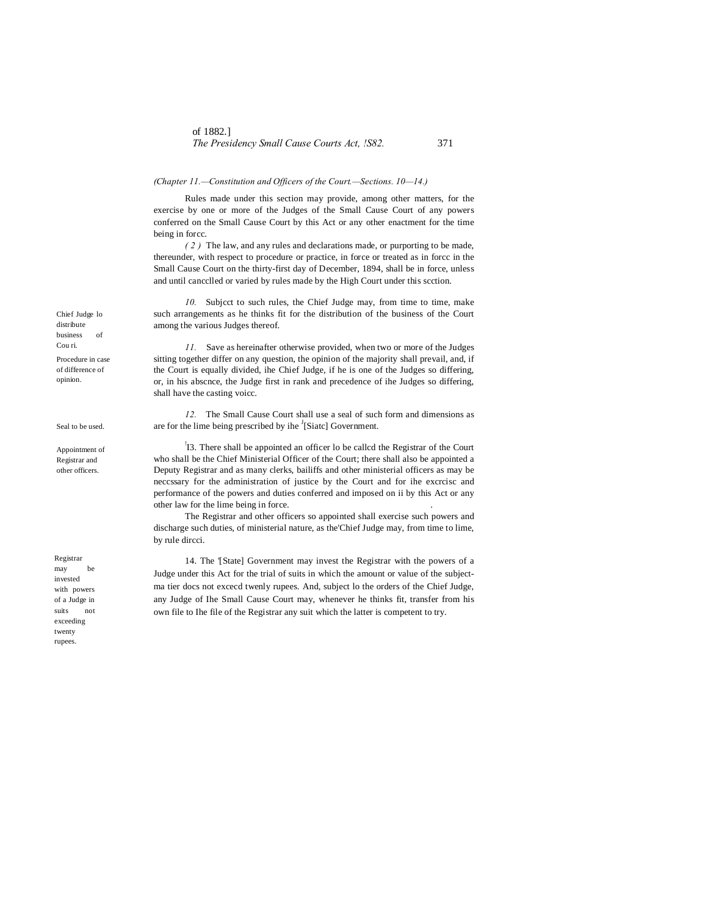### *(Chapter 11.—Constitution and Officers of the Court.—Sections. 10—14.)*

Rules made under this section may provide, among other matters, for the exercise by one or more of the Judges of the Small Cause Court of any powers conferred on the Small Cause Court by this Act or any other enactment for the time being in forcc.

*( 2 )* The law, and any rules and declarations made, or purporting to be made, thereunder, with respect to procedure or practice, in force or treated as in forcc in the Small Cause Court on the thirty-first day of December, 1894, shall be in force, unless and until cancclled or varied by rules made by the High Court under this scction.

*10.* Subjcct to such rules, the Chief Judge may, from time to time, make such arrangements as he thinks fit for the distribution of the business of the Court among the various Judges thereof.

*11.* Save as hereinafter otherwise provided, when two or more of the Judges sitting together differ on any question, the opinion of the majority shall prevail, and, if the Court is equally divided, ihe Chief Judge, if he is one of the Judges so differing, or, in his abscnce, the Judge first in rank and precedence of ihe Judges so differing, shall have the casting voicc.

*12.* The Small Cause Court shall use a seal of such form and dimensions as are for the lime being prescribed by ihe  $\frac{1}{3}$ [Siatc] Government.

! I3. There shall be appointed an officer lo be callcd the Registrar of the Court who shall be the Chief Ministerial Officer of the Court; there shall also be appointed a Deputy Registrar and as many clerks, bailiffs and other ministerial officers as may be neccssary for the administration of justice by the Court and for ihe excrcisc and performance of the powers and duties conferred and imposed on ii by this Act or any other law for the lime being in force. .

The Registrar and other officers so appointed shall exercise such powers and discharge such duties, of ministerial nature, as the'Chief Judge may, from time to lime, by rule dircci.

14. The '[State] Government may invest the Registrar with the powers of a Judge under this Act for the trial of suits in which the amount or value of the subjectma tier docs not excecd twenly rupees. And, subject lo the orders of the Chief Judge, any Judge of Ihe Small Cause Court may, whenever he thinks fit, transfer from his own file to Ihe file of the Registrar any suit which the latter is competent to try.

Chief Judge lo distribute business of Cou ri. Procedure in case of difference of opinion.

Seal to be used.

Appointment of Registrar and other officers.

Registrar may be invested with powers of a Judge in suits not exceeding twenty rupees.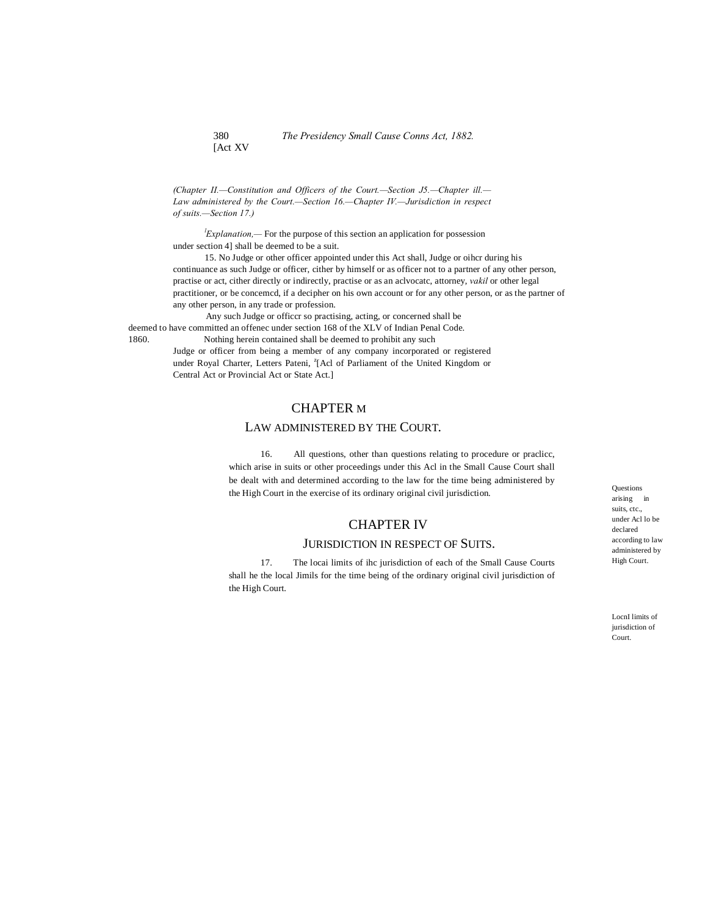380 *The Presidency Small Cause Conns Act, 1882.* [Act XV

*(Chapter II.—Constitution and Officers of the Court.—Section J5.—Chapter ill.— Law administered by the Court.—Section 16.—Chapter IV.—Jurisdiction in respect of suits.—Section 17.)*

*l Explanation,—* For the purpose of this section an application for possession under section 4] shall be deemed to be a suit.

15. No Judge or other officer appointed under this Act shall, Judge or oihcr during his continuance as such Judge or officer, cither by himself or as officer not to a partner of any other person, practise or act, cither directly or indirectly, practise or as an aclvocatc, attorney, *vakil* or other legal practitioner, or be concemcd, if a decipher on his own account or for any other person, or as the partner of any other person, in any trade or profession.

Any such Judge or officcr so practising, acting, or concerned shall be deemed to have committed an offenec under section 168 of the XLV of Indian Penal Code. 1860. Nothing herein contained shall be deemed to prohibit any such

Judge or officer from being a member of any company incorporated or registered under Royal Charter, Letters Pateni, <sup>2</sup>[Acl of Parliament of the United Kingdom or Central Act or Provincial Act or State Act.]

# CHAPTER M

# LAW ADMINISTERED BY THE COURT.

16. All questions, other than questions relating to procedure or praclicc, which arise in suits or other proceedings under this Acl in the Small Cause Court shall be dealt with and determined according to the law for the time being administered by the High Court in the exercise of its ordinary original civil jurisdiction.

# CHAPTER IV

### JURISDICTION IN RESPECT OF SUITS.

17. The locai limits of ihc jurisdiction of each of the Small Cause Courts shall he the local Jimils for the time being of the ordinary original civil jurisdiction of the High Court.

Questions arising in suits, ctc., under Acl lo be declared according to law administered by High Court.

LocnI limits of jurisdiction of Court.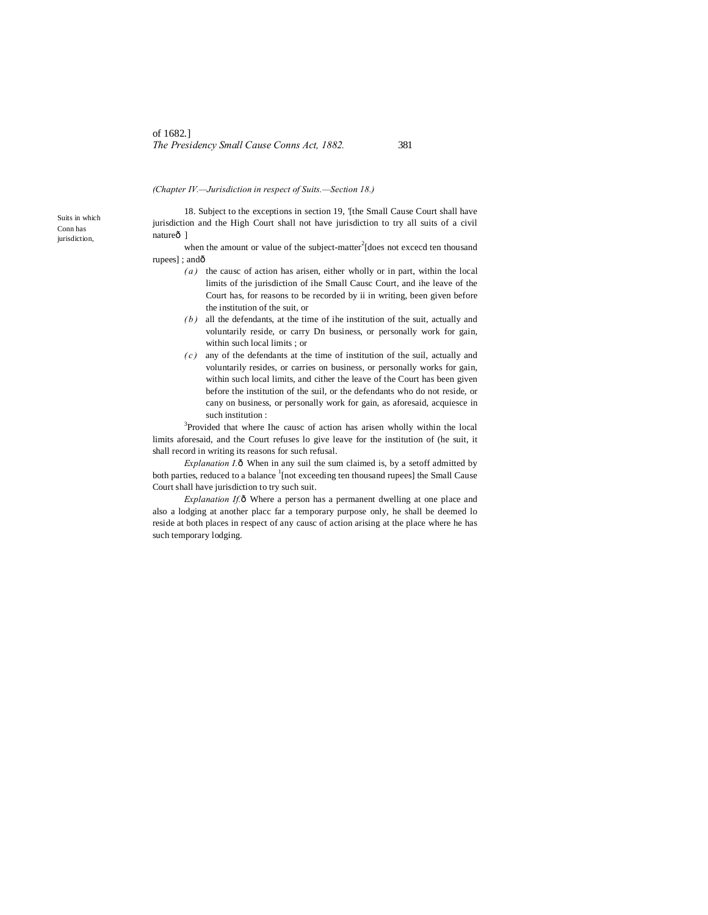### *(Chapter IV.—Jurisdiction in respect of Suits.—Section 18.)*

18. Subject to the exceptions in section 19, '[the Small Cause Court shall have jurisdiction and the High Court shall not have jurisdiction to try all suits of a civil natureô ]

when the amount or value of the subject-matter<sup>2</sup>[does not excecd ten thousand rupees]; andô

- *( a )* the causc of action has arisen, either wholly or in part, within the local limits of the jurisdiction of ihe Small Causc Court, and ihe leave of the Court has, for reasons to be recorded by ii in writing, been given before the institution of the suit, or
- *( b )* all the defendants, at the time of ihe institution of the suit, actually and voluntarily reside, or carry Dn business, or personally work for gain, within such local limits ; or
- *( c )* any of the defendants at the time of institution of the suil, actually and voluntarily resides, or carries on business, or personally works for gain, within such local limits, and cither the leave of the Court has been given before the institution of the suil, or the defendants who do not reside, or cany on business, or personally work for gain, as aforesaid, acquiesce in such institution :

<sup>3</sup>Provided that where Ihe causc of action has arisen wholly within the local limits aforesaid, and the Court refuses lo give leave for the institution of (he suit, it shall record in writing its reasons for such refusal.

*Explanation I.* ô When in any suil the sum claimed is, by a setoff admitted by both parties, reduced to a balance <sup>1</sup>[not exceeding ten thousand rupees] the Small Cause Court shall have jurisdiction to try such suit.

*Explanation If.* $\delta$  Where a person has a permanent dwelling at one place and also a lodging at another placc far a temporary purpose only, he shall be deemed lo reside at both places in respect of any causc of action arising at the place where he has such temporary lodging.

Suits in which Conn has jurisdiction,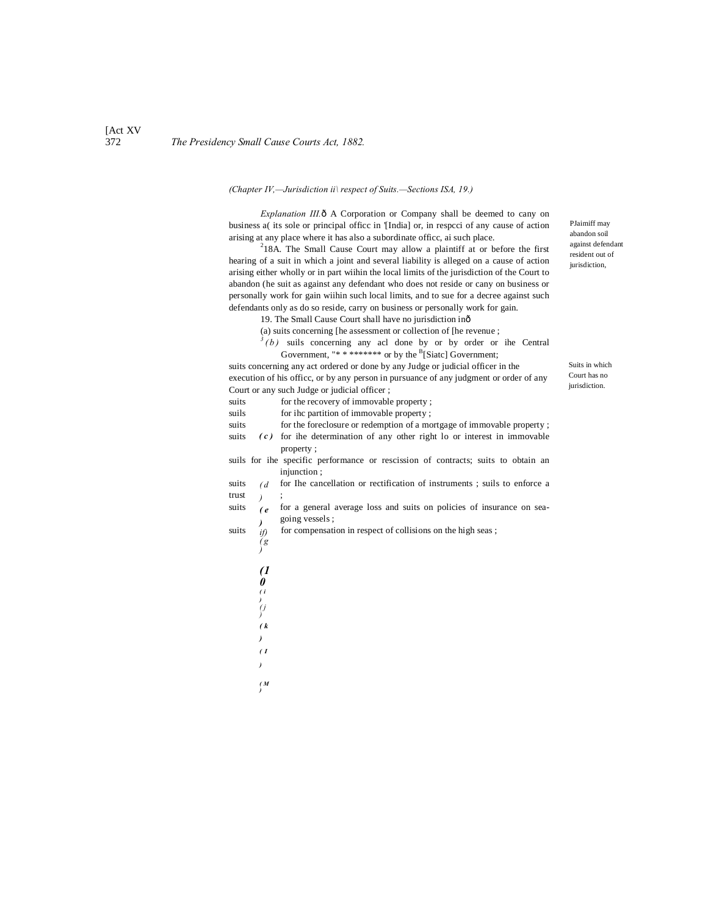### 372 *The Presidency Small Cause Courts Act, 1882.*

### *(Chapter IV,—Jurisdiction ii\ respect of Suits.—Sections ISA, 19.)*

*Explanation III.*  $\delta$  A Corporation or Company shall be deemed to cany on business a( its sole or principal officc in '[India] or, in respcci of any cause of action arising at any place where it has also a subordinate officc, ai such place.

 $218A$ . The Small Cause Court may allow a plaintiff at or before the first hearing of a suit in which a joint and several liability is alleged on a cause of action arising either wholly or in part wiihin the local limits of the jurisdiction of the Court to abandon (he suit as against any defendant who does not reside or cany on business or personally work for gain wiihin such local limits, and to sue for a decree against such defendants only as do so reside, carry on business or personally work for gain.

19. The Small Cause Court shall have no jurisdiction in—

- (a) suits concerning [he assessment or collection of [he revenue ;
- $3(b)$  suils concerning any acl done by or by order or ihe Central Government, "\* \* \*\*\*\*\*\*\*\* or by the  $B[Siate]$  Government;

suits concerning any act ordered or done by any Judge or judicial officer in the execution of his officc, or by any person in pursuance of any judgment or order of any Court or any such Judge or judicial officer ;

| suits |               | for the recovery of immovable property;                                           |
|-------|---------------|-----------------------------------------------------------------------------------|
| suils |               | for ihc partition of immovable property;                                          |
| suits |               | for the foreclosure or redemption of a mortgage of immovable property;            |
| suits |               | $(c)$ for the determination of any other right lo or interest in immovable        |
|       |               | property;                                                                         |
|       |               | suils for the specific performance or rescission of contracts; suits to obtain an |
|       |               | injunction ;                                                                      |
| suits | $(d -$        | for the cancellation or rectification of instruments; suils to enforce a          |
| trust |               |                                                                                   |
| suits | (e)           | for a general average loss and suits on policies of insurance on sea-             |
|       |               | going vessels;                                                                    |
| suits | )<br>if)      | for compensation in respect of collisions on the high seas;                       |
|       | $^{\prime}$ g |                                                                                   |
|       |               |                                                                                   |
|       | (1            |                                                                                   |
|       |               |                                                                                   |
|       |               |                                                                                   |
|       |               |                                                                                   |
|       |               |                                                                                   |

- *)*
- *( k*
- *)*
- *( I*
- *)*
- *( M )*

PJaimiff may abandon soil against defendant resident out of jurisdiction.

Suits in which Court has no jurisdiction.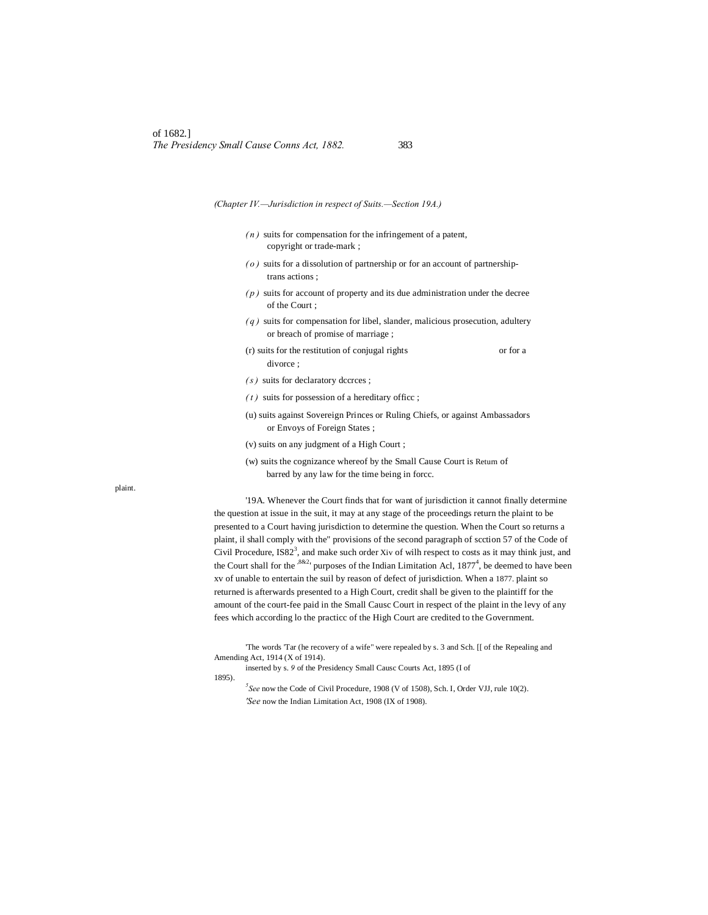*(Chapter IV.—Jurisdiction in respect of Suits.—Section 19A.)*

- *( n )* suits for compensation for the infringement of a patent, copyright or trade-mark ;
- *( o )* suits for a dissolution of partnership or for an account of partnershiptrans actions ;
- $(p)$  suits for account of property and its due administration under the decree of the Court ;
- *( q )* suits for compensation for libel, slander, malicious prosecution, adultery or breach of promise of marriage ;
- (r) suits for the restitution of conjugal rights or for a divorce ;
- *( s )* suits for declaratory dccrces ;
- $(t)$  suits for possession of a hereditary office ;
- (u) suits against Sovereign Princes or Ruling Chiefs, or against Ambassadors or Envoys of Foreign States ;
- (v) suits on any judgment of a High Court ;
- (w) suits the cognizance whereof by the Small Cause Court is Return of barred by any law for the time being in forcc.

'19A. Whenever the Court finds that for want of jurisdiction it cannot finally determine the question at issue in the suit, it may at any stage of the proceedings return the plaint to be presented to a Court having jurisdiction to determine the question. When the Court so returns a plaint, il shall comply with the" provisions of the second paragraph of scction 57 of the Code of Civil Procedure,  $ISS2<sup>3</sup>$ , and make such order Xiv of wilh respect to costs as it may think just, and the Court shall for the  $^{8\&2}$ <sup>t</sup> purposes of the Indian Limitation Acl, 1877<sup>4</sup>, be deemed to have been xv of unable to entertain the suil by reason of defect of jurisdiction. When a 1877. plaint so returned is afterwards presented to a High Court, credit shall be given to the plaintiff for the amount of the court-fee paid in the Small Causc Court in respect of the plaint in the levy of any fees which according lo the practicc of the High Court are credited to the Government.

'The words 'Tar (he recovery of a wife" were repealed by s. 3 and Sch. [[ of the Repealing and Amending Act, 1914 (X of 1914).

inserted by s. *9* of the Presidency Small Causc Courts Act, 1895 (I of

1895).

*5 See* now the Code of Civil Procedure, 1908 (V of 1508), Sch. I, Order VJJ, rule 10(2). *'See* now the Indian Limitation Act, 1908 (IX of 1908).

plaint.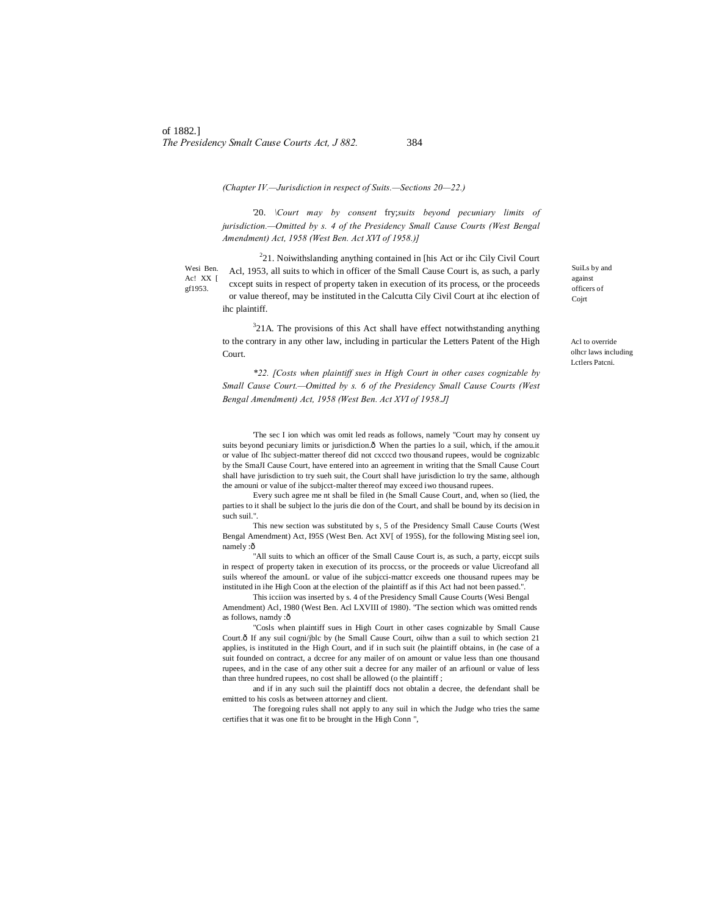*(Chapter IV.—Jurisdiction in respect of Suits.—Sections 20—22.)*

'20. *\Court may by consent* fry;*suits beyond pecuniary limits of jurisdiction.—Omitted by s. 4 of the Presidency Small Cause Courts (West Bengal Amendment) Act, 1958 (West Ben. Act XVI of 1958.)]*

Wesi Ben. Ac! XX [ gf1953.

 $221$ . Noiwithslanding anything contained in [his Act or ihc Cily Civil Court] Acl, 1953, all suits to which in officer of the Small Cause Court is, as such, a parly cxcept suits in respect of property taken in execution of its process, or the proceeds or value thereof, may be instituted in the Calcutta Cily Civil Court at ihc election of ihc plaintiff.

 $321A$ . The provisions of this Act shall have effect notwithstanding anything to the contrary in any other law, including in particular the Letters Patent of the High Court.

*\*22. [Costs when plaintiff sues in High Court in other cases cognizable by Small Cause Court.—Omitted by s. 6 of the Presidency Small Cause Courts (West Bengal Amendment) Act, 1958 (West Ben. Act XVI of 1958.J]*

'The sec I ion which was omit led reads as follows, namely "Court may hy consent uy suits beyond pecuniary limits or jurisdiction. $\delta$  When the parties lo a suil, which, if the amou.it or value of Ihc subject-matter thereof did not cxcccd two thousand rupees, would be cognizablc by the SmaJI Cause Court, have entered into an agreement in writing that the Small Cause Court shall have jurisdiction to try sueh suit, the Court shall have jurisdiction lo try the same, although the amouni or value of ihe subjcct-malter thereof may exceed iwo thousand rupees.

Every such agree me nt shall be filed in (he Small Cause Court, and, when so (lied, the parties to it shall be subject lo the juris die don of the Court, and shall be bound by its decision in such suil.".

This new section was substituted by s, 5 of the Presidency Small Cause Courts (West Bengal Amendment) Act, I95S (West Ben. Act XV[ of 195S), for the following Misting seel ion, namely :ô

"All suits to which an officer of the Small Cause Court is, as such, a party, eiccpt suils in respect of property taken in execution of its proccss, or the proceeds or value Uicreofand all suils whereof the amounL or value of ihe subjcci-mattcr exceeds one thousand rupees may be instituted in ihe High Coon at the election of the plaintiff as if this Act had not been passed.".

This icciion was inserted by s. 4 of the Presidency Small Cause Courts (Wesi Bengal Amendment) Acl, 1980 (West Ben. Acl LXVIII of 1980). "The section which was omitted rends as follows, namdy :ô

"Cosls when plaintiff sues in High Court in other cases cognizable by Small Cause Court. $\delta$  If any suil cogni/jblc by (he Small Cause Court, oihw than a suil to which section 21 applies, is instituted in the High Court, and if in such suit (he plaintiff obtains, in (he case of a suit founded on contract, a dccree for any mailer of on amount or value less than one thousand rupees, and in the case of any other suit a decree for any mailer of an arfiounl or value of less than three hundred rupees, no cost shall be allowed (o the plaintiff ;

and if in any such suil the plaintiff docs not obtalin a decree, the defendant shall be emitted to his cosls as between attorney and client.

The foregoing rules shall not apply to any suil in which the Judge who tries the same certifies that it was one fit to be brought in the High Conn ",

SuiLs by and against officers of Cojrt

Acl to override olhcr laws including Lctlers Patcni.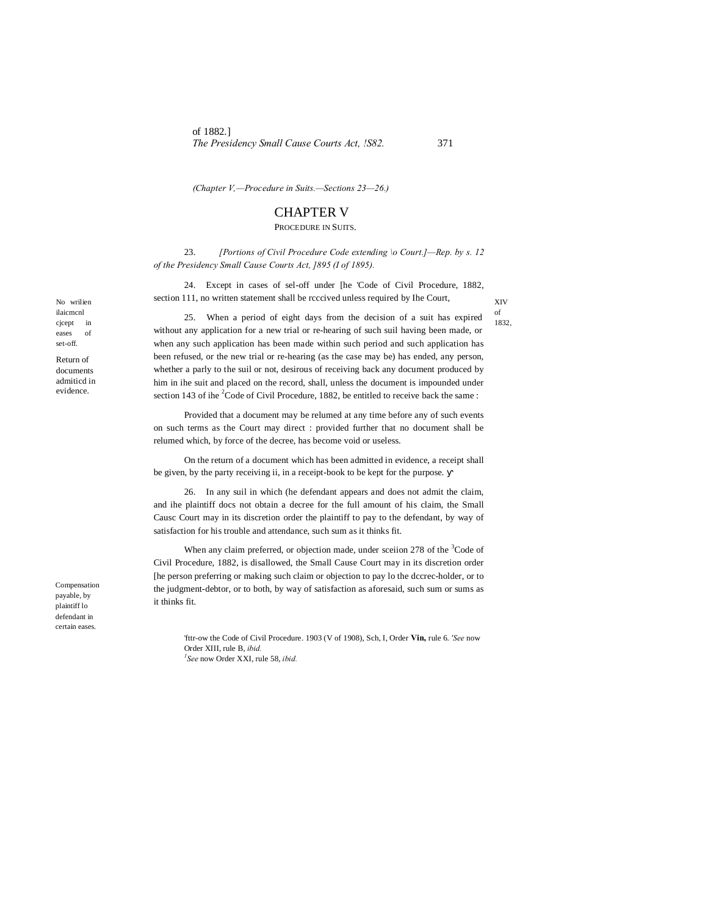of 1882.] *The Presidency Small Cause Courts Act, !S82.* 371

*(Chapter V,—Procedure in Suits.—Sections 23—26.)*

# CHAPTER V

PROCEDURE IN SUITS.

23. *[Portions of Civil Procedure Code extending \o Court.]—Rep. by s. 12 of the Presidency Small Cause Courts Act, ]895 (I of 1895).*

24. Except in cases of sel-off under [he 'Code of Civil Procedure, 1882, section 111, no written statement shall be rcccived unless required by Ihe Court,

XIV of

1832,

25. When a period of eight days from the decision of a suit has expired without any application for a new trial or re-hearing of such suil having been made, or when any such application has been made within such period and such application has been refused, or the new trial or re-hearing (as the case may be) has ended, any person, whether a parly to the suil or not, desirous of receiving back any document produced by him in ihe suit and placed on the record, shall, unless the document is impounded under section 143 of ihe  ${}^{2}$ Code of Civil Procedure, 1882, be entitled to receive back the same:

Provided that a document may be relumed at any time before any of such events on such terms as the Court may direct : provided further that no document shall be relumed which, by force of the decree, has become void or useless.

On the return of a document which has been admitted in evidence, a receipt shall be given, by the party receiving ii, in a receipt-book to be kept for the purpose.

26. In any suil in which (he defendant appears and does not admit the claim, and ihe plaintiff docs not obtain a decree for the full amount of his claim, the Small Causc Court may in its discretion order the plaintiff to pay to the defendant, by way of satisfaction for his trouble and attendance, such sum as it thinks fit.

When any claim preferred, or objection made, under sceiion 278 of the <sup>3</sup>Code of Civil Procedure, 1882, is disallowed, the Small Cause Court may in its discretion order [he person preferring or making such claim or objection to pay lo the dccrec-holder, or to the judgment-debtor, or to both, by way of satisfaction as aforesaid, such sum or sums as it thinks fit.

'fttr-ow the Code of Civil Procedure. 1903 (V of 1908), Sch, I, Order **Vin,** rule 6. *'See* now Order XIII, rule B, *ibid. 1 See* now Order XXI, rule 58, *ibid.*

Compensation payable, by plaintiff lo defendant in certain eases.

No wrilien ilaicmcnl cjcept in eases of set-off. Return of documents admiticd in evidence.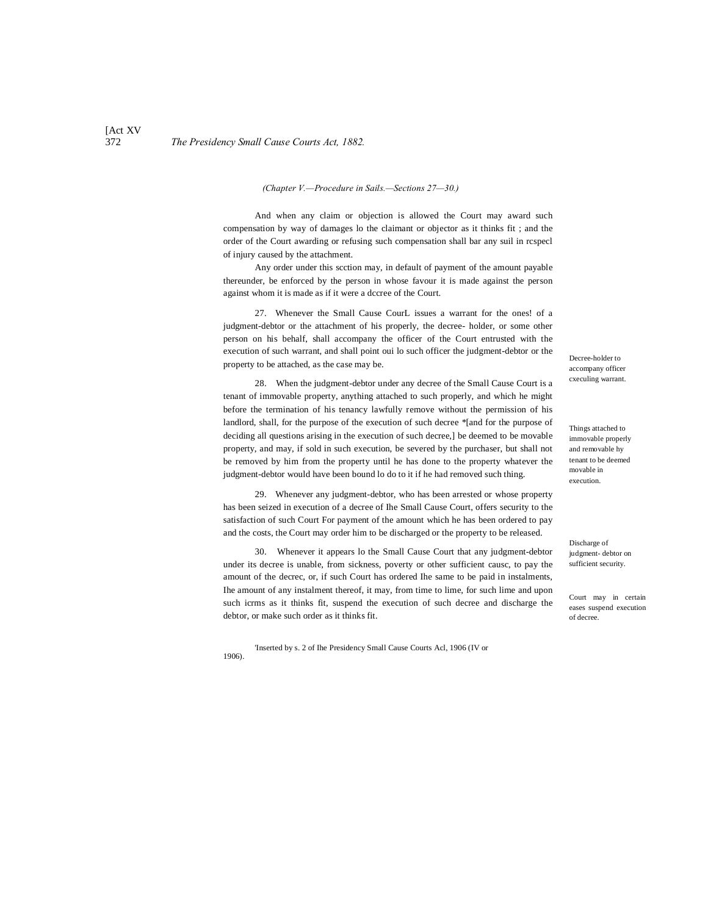# 372 *The Presidency Small Cause Courts Act, 1882.*

### *(Chapter V.—Procedure in Sails.—Sections 27—30.)*

And when any claim or objection is allowed the Court may award such compensation by way of damages lo the claimant or objector as it thinks fit ; and the order of the Court awarding or refusing such compensation shall bar any suil in rcspecl of injury caused by the attachment.

Any order under this scction may, in default of payment of the amount payable thereunder, be enforced by the person in whose favour it is made against the person against whom it is made as if it were a dccree of the Court.

27. Whenever the Small Cause CourL issues a warrant for the ones! of a judgment-debtor or the attachment of his properly, the decree- holder, or some other person on his behalf, shall accompany the officer of the Court entrusted with the execution of such warrant, and shall point oui lo such officer the judgment-debtor or the property to be attached, as the case may be.

28. When the judgment-debtor under any decree of the Small Cause Court is a tenant of immovable property, anything attached to such properly, and which he might before the termination of his tenancy lawfully remove without the permission of his landlord, shall, for the purpose of the execution of such decree \*[and for the purpose of deciding all questions arising in the execution of such decree,] be deemed to be movable property, and may, if sold in such execution, be severed by the purchaser, but shall not be removed by him from the property until he has done to the property whatever the judgment-debtor would have been bound lo do to it if he had removed such thing.

29. Whenever any judgment-debtor, who has been arrested or whose property has been seized in execution of a decree of Ihe Small Cause Court, offers security to the satisfaction of such Court For payment of the amount which he has been ordered to pay and the costs, the Court may order him to be discharged or the property to be released.

30. Whenever it appears lo the Small Cause Court that any judgment-debtor under its decree is unable, from sickness, poverty or other sufficient causc, to pay the amount of the decrec, or, if such Court has ordered Ihe same to be paid in instalments, Ihe amount of any instalment thereof, it may, from time to lime, for such lime and upon such icrms as it thinks fit, suspend the execution of such decree and discharge the debtor, or make such order as it thinks fit.

'Inserted by s. 2 of Ihe Presidency Small Cause Courts Acl, 1906 (IV or 1906).

Decree-holder to accompany officer cxeculing warrant.

Things attached to immovable properly and removable hy tenant to be deemed movable in execution.

Discharge of judgment- debtor on sufficient security.

Court may in certain eases suspend execution of decree.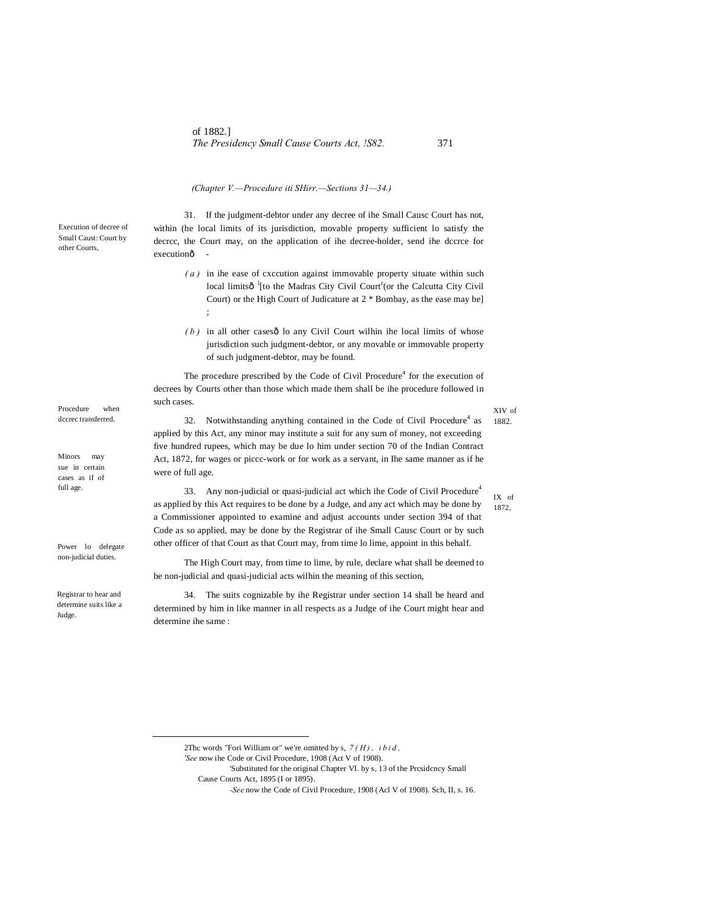### *(Chapter V.—Procedure iti SHirr.—Sections 31—34.)*

31. If the judgment-debtor under any decree of ihe Small Causc Court has not, within (he local limits of its jurisdiction, movable property sufficient lo satisfy the decrcc, the Court may, on the application of ihe decree-holder, send ihe dccrce for executionô

- *( a )* in ihe ease of cxccution against immovable property situate within such local limitsô<sup>1</sup> [to the Madras City Civil Court<sup>2</sup> (or the Calcutta City Civil Court) or the High Court of Judicature at 2 \* Bombay, as the ease may be] ;
- $(b)$  in all other casesô lo any Civil Court wilhin ihe local limits of whose jurisdiction such judgment-debtor, or any movable or immovable property of such judgment-debtor, may be found.

The procedure prescribed by the Code of Civil Procedure $<sup>4</sup>$  for the execution of</sup> decrees by Courts other than those which made them shall be ihe procedure followed in such cases.

32. Notwithstanding anything contained in the Code of Civil Procedure<sup>4</sup> as applied by this Act, any minor may institute a suit for any sum of money, not exceeding five hundred rupees, which may be due lo him under section 70 of the Indian Contract Act, 1872, for wages or piccc-work or for work as a servant, in Ihe same manner as if he were of full age.

33. Any non-judicial or quasi-judicial act which ihe Code of Civil Procedure<sup>4</sup> as applied by this Act requires to be done by a Judge, and any act which may be done by a Commissioner appointed to examine and adjust accounts under section 394 of that Code as so applied, may be done by the Registrar of ihe Small Causc Court or by such other officer of that Court as that Court may, from time lo lime, appoint in this behalf.

The High Court may, from time to lime, by rule, declare what shall be deemed to be non-judicial and quasi-judicial acts wilhin the meaning of this section,

34. The suits cognizable by ihe Registrar under section 14 shall be heard and determined by him in like manner in all respects as a Judge of ihe Court might hear and determine ihe same :

Execution of decree of Small Caust: Court by other Courts,

Procedure when dccrec transferred.

Minors may sue in certain cases as if of full age.

Power lo delegate non-judicial duties.

Registrar to hear and determine suits like a Judge.

XIV of 1882.

IX of 1872,

 <sup>2</sup>Thc words "Fori William or" we're omitted by s, *7 ( H ) , i b i d ,*

*<sup>&#</sup>x27;See* now ihe Code or Civil Procedure, 1908 (Act V of 1908).

<sup>&#</sup>x27;Substituted for the original Chapter VI. by s, 13 of the Prcsidcncy Small Cause Courts Act, 1895 (I or 1895).

*<sup>-</sup>See* now the Code of Civil Procedure, 1908 (Acl V of 1908). Sch, II, s. 16.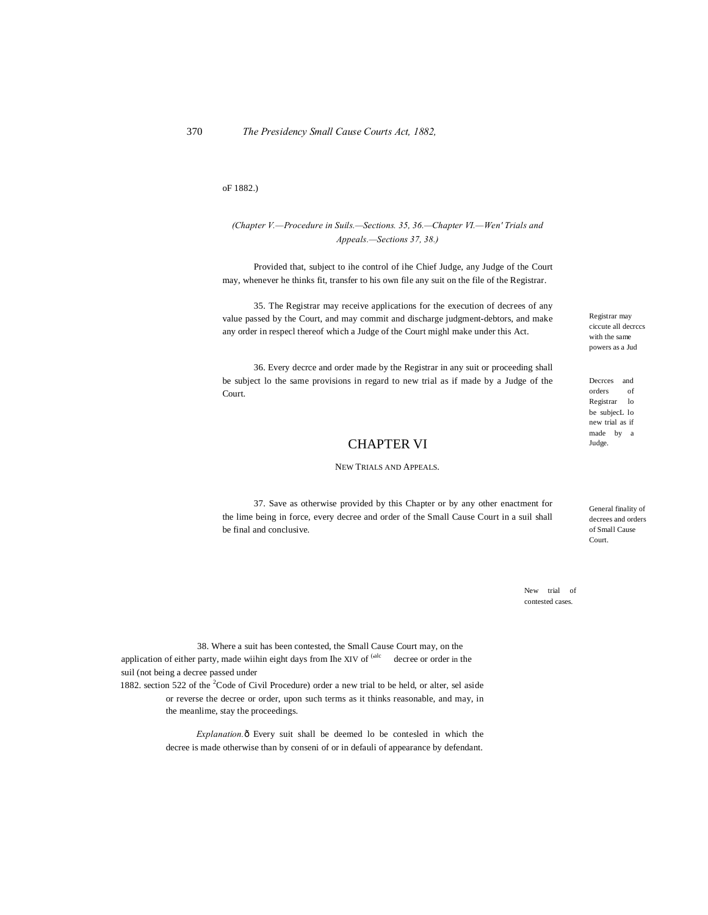### oF 1882.)

### *(Chapter V.—Procedure in Suils.—Sections. 35, 36.—Chapter VI.—Wen' Trials and Appeals.—Sections 37, 38.)*

Provided that, subject to ihe control of ihe Chief Judge, any Judge of the Court may, whenever he thinks fit, transfer to his own file any suit on the file of the Registrar.

35. The Registrar may receive applications for the execution of decrees of any value passed by the Court, and may commit and discharge judgment-debtors, and make any order in respecl thereof which a Judge of the Court mighl make under this Act.

36. Every decrce and order made by the Registrar in any suit or proceeding shall be subject lo the same provisions in regard to new trial as if made by a Judge of the Court.

# CHAPTER VI

#### NEW TRIALS AND APPEALS.

37. Save as otherwise provided by this Chapter or by any other enactment for the lime being in force, every decree and order of the Small Cause Court in a suil shall be final and conclusive.

Registrar may ciccute all decrccs with the same powers as a Jud

Decrces and<br>orders of orders Registrar lo be subjecL lo new trial as if made by a Judge.

General finality of decrees and orders of Small Cause Court.

New trial of contested cases.

38. Where a suit has been contested, the Small Cause Court may, on the application of either party, made wiihin eight days from Ihe XIV of  $\frac{\text{(ale)}}{\text{(else)}}$  decree or order in the suil (not being a decree passed under

1882. section 522 of the <sup>2</sup>Code of Civil Procedure) order a new trial to be held, or alter, sel aside or reverse the decree or order, upon such terms as it thinks reasonable, and may, in the meanlime, stay the proceedings.

> *Explanation.* Ô Every suit shall be deemed lo be contesled in which the decree is made otherwise than by conseni of or in defauli of appearance by defendant.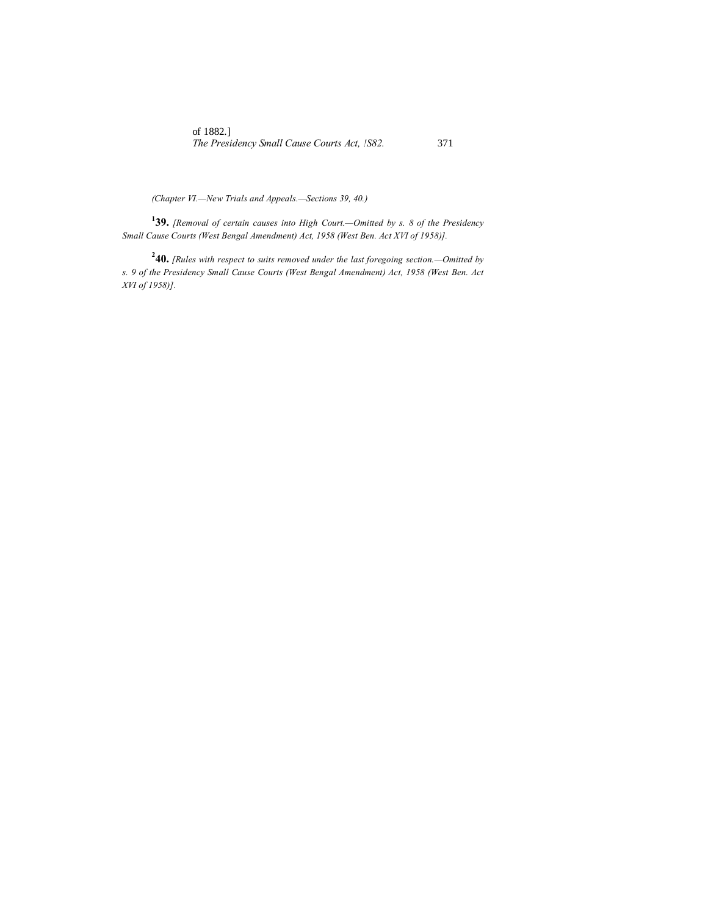*(Chapter VI.—New Trials and Appeals.—Sections 39, 40.)*

**1 39.** *[Removal of certain causes into High Court.—Omitted by s. 8 of the Presidency Small Cause Courts (West Bengal Amendment) Act, 1958 (West Ben. Act XVI of 1958)].*

**2 40.** *[Rules with respect to suits removed under the last foregoing section.—Omitted by s. 9 of the Presidency Small Cause Courts (West Bengal Amendment) Act, 1958 (West Ben. Act XVI of 1958)].*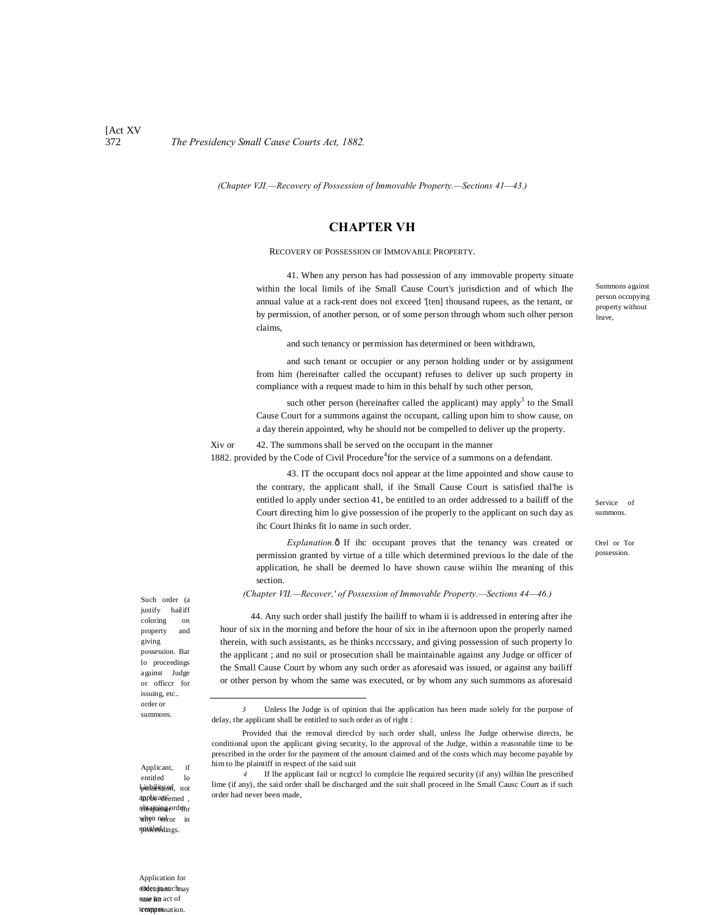### [Act XV 372 *The Presidency Small Cause Courts Act, 1882.*

*(Chapter VJI.—Recovery of Possession of Immovable Property.—Sections 41—43.)*

### **CHAPTER VH**

#### RECOVERY OF POSSESSION OF IMMOVABLE PROPERTY.

41. When any person has had possession of any immovable property situate within the local limils of ihe Small Cause Court's jurisdiction and of which Ihe annual value at a rack-rent does nol exceed '[ten] thousand rupees, as the tenant, or by permission, of another person, or of some person through whom such olher person claims,

and such tenancy or permission has determined or been withdrawn,

and such tenant or occupier or any person holding under or by assignment from him (hereinafter called the occupant) refuses to deliver up such property in compliance with a request made to him in this behalf by such other person,

such other person (hereinafter called the applicant) may apply<sup>3</sup> to the Small Cause Court for a summons against the occupant, calling upon him to show cause, on a day therein appointed, why he should not be compelled to deliver up the property.

### Xiv or 42. The summons shall be served on the occupant in the manner

1882. provided by the Code of Civil Procedure<sup>4</sup> for the service of a summons on a defendant.

43. IT the occupant docs nol appear at the lime appointed and show cause to the contrary, the applicant shall, if ihe Small Cause Court is satisfied thal'he is entitled lo apply under section 41, be entitled to an order addressed to a bailiff of the Court directing him lo give possession of ihe properly to the applicant on such day as ihc Court Ihinks fit lo name in such order.

*Explanation.* $\delta$  If ihc occupant proves that the tenancy was created or permission granted by virtue of a tille which determined previous lo the dale of the application, he shall be deemed lo have shown cause wiihin Ihe meaning of this section.

*(Chapter VII.—Recover,' of Possession of Immovable Property.—Sections 44—46.)*

44. Any such order shall justify Ihe bailiff to wham ii is addressed in entering after ihe hour of six in the morning and before the hour of six in ihe afternoon upon the properly named therein, with such assistants, as he thinks ncccssary, and giving possession of such property lo the applicant ; and no suil or prosecution shall be maintainable against any Judge or officer of the Small Cause Court by whom any such order as aforesaid was issued, or against any bailiff or other person by whom the same was executed, or by whom any such summons as aforesaid

*4* If lhe applicant fail or ncgtccl lo complcie lhe required security (if any) wilhin lhe prescribed lime (if any), the said order shall be discharged and the suit shall proceed in lhe Small Causc Court as if such order had never been made,

Such order (a justify bailiff coloring on property and giving possession. Bar lo proceedings against Judge or officcr for issuing, etc.. order or summons.

-

Applicant, if entitled lo Ipissisision, not applicantiemed, o**btajning** orde<sub>br</sub> when not<sub>ror in</sub> entitleddings.

**Oden jansuch may** eane for act of tresppensation. Application for

Summons against person occupying property without leave,

Service of summons.

Orel or Tor possession.

*<sup>3</sup>* Unless lhe Judge is of opinion thai lhe application has been made solely for the purpose of delay, the applicant shall be entitled to such order as of right :

Provided thai the removal direclcd by such order shall, unless lhe Judge otherwise directs, be conditional upon the applicant giving security, lo the approval of the Judge, within a reasonable time to be prescribed in the order for the payment of the amount claimed and of the costs which may become payable by him to lhe plaintiff in respect of the said suit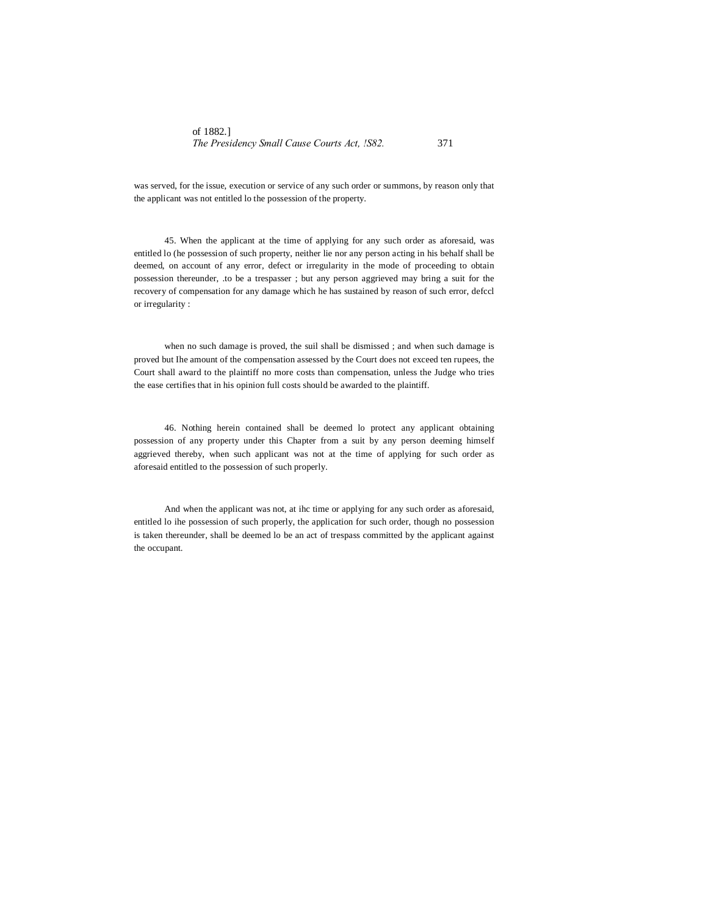was served, for the issue, execution or service of any such order or summons, by reason only that the applicant was not entitled lo the possession of the property.

45. When the applicant at the time of applying for any such order as aforesaid, was entitled lo (he possession of such property, neither lie nor any person acting in his behalf shall be deemed, on account of any error, defect or irregularity in the mode of proceeding to obtain possession thereunder, .to be a trespasser ; but any person aggrieved may bring a suit for the recovery of compensation for any damage which he has sustained by reason of such error, defccl or irregularity :

when no such damage is proved, the suil shall be dismissed ; and when such damage is proved but Ihe amount of the compensation assessed by the Court does not exceed ten rupees, the Court shall award to the plaintiff no more costs than compensation, unless the Judge who tries the ease certifies that in his opinion full costs should be awarded to the plaintiff.

46. Nothing herein contained shall be deemed lo protect any applicant obtaining possession of any property under this Chapter from a suit by any person deeming himself aggrieved thereby, when such applicant was not at the time of applying for such order as aforesaid entitled to the possession of such properly.

And when the applicant was not, at ihc time or applying for any such order as aforesaid, entitled lo ihe possession of such properly, the application for such order, though no possession is taken thereunder, shall be deemed lo be an act of trespass committed by the applicant against the occupant.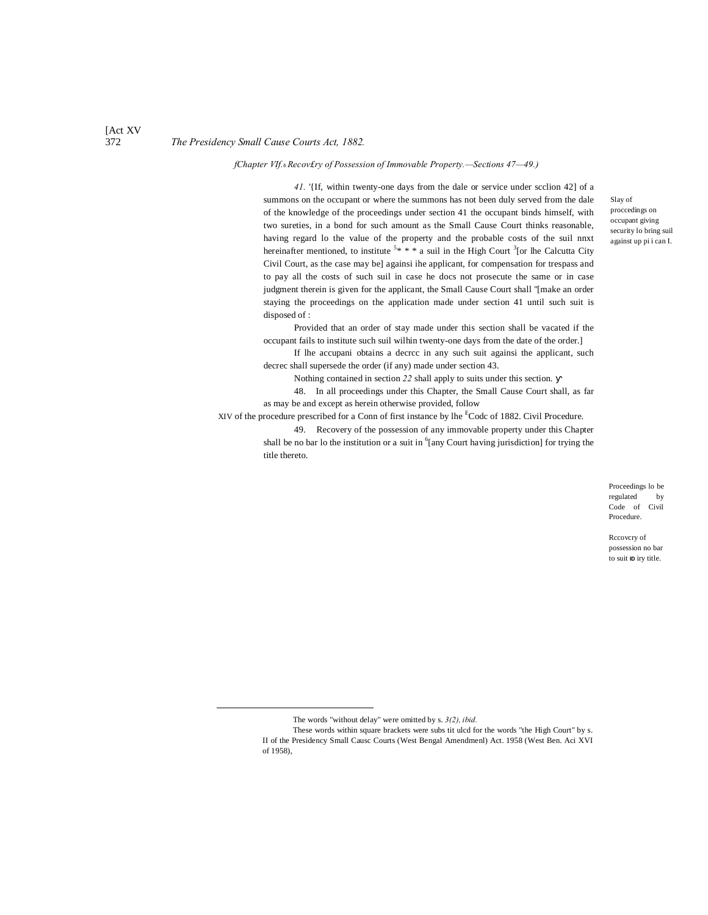[Act XV

### 372 *The Presidency Small Cause Courts Act, 1882.*

*fChapter VIf.*—*Recov£ry of Possession of Immovable Property.—Sections 47—49.)*

*41.* '{If, within twenty-one days from the dale or service under scclion 42] of a summons on the occupant or where the summons has not been duly served from the dale of the knowledge of the proceedings under section 41 the occupant binds himself, with two sureties, in a bond for such amount as the Small Cause Court thinks reasonable, having regard lo the value of the property and the probable costs of the suil nnxt hereinafter mentioned, to institute  $5* * * a$  suil in the High Court <sup>3</sup>[or lhe Calcutta City Civil Court, as the case may be] againsi ihe applicant, for compensation for trespass and to pay all the costs of such suil in case he docs not prosecute the same or in case judgment therein is given for the applicant, the Small Cause Court shall ''[make an order staying the proceedings on the application made under section 41 until such suit is disposed of :

Provided that an order of stay made under this section shall be vacated if the occupant fails to institute such suil wilhin twenty-one days from the date of the order.]

If lhe accupani obtains a decrcc in any such suit againsi the applicant, such decrec shall supersede the order (if any) made under section 43.

Nothing contained in section *22* shall apply to suits under this section.

48. In all proceedings under this Chapter, the Small Cause Court shall, as far as may be and except as herein otherwise provided, follow

XIV of the procedure prescribed for a Conn of first instance by lhe <sup>E</sup>Codc of 1882. Civil Procedure.

49. Recovery of the possession of any immovable property under this Chapter shall be no bar lo the institution or a suit in  $6$ [any Court having jurisdiction] for trying the title thereto.

> Proceedings lo be regulated by Code of Civil Procedure.

Rccovcry of possession no bar to suit **ID** iry title.

Slay of proccedings on occupant giving security lo bring suil against up pi i can I.

The words "without delay" were omitted by s. *3(2), ibid.*

These words within square brackets were subs tit ulcd for the words "the High Court" by s. II of the Presidency Small Causc Courts (West Bengal Amendmenl) Act. 1958 (West Ben. Aci XVI of 1958),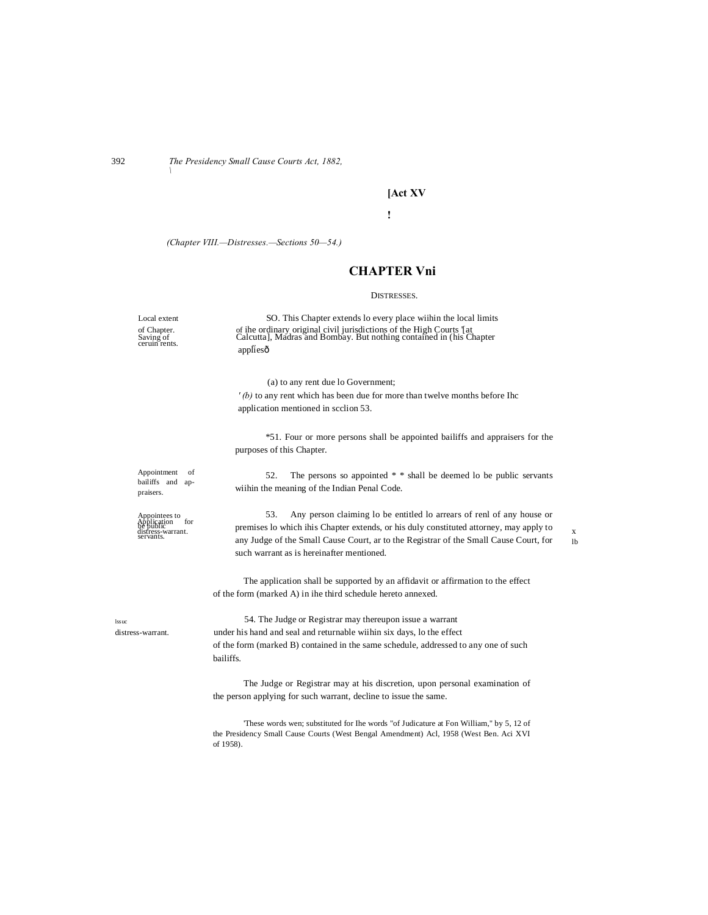392 *The Presidency Small Cause Courts Act, 1882, \*

# **[Act XV**

**!**

*(Chapter VIII.—Distresses.—Sections 50—54.)*

# **CHAPTER Vni**

### DISTRESSES.

| Local extent                                                                            | SO. This Chapter extends lo every place wiihin the local limits                                                                                                                                                                                                                                              |                     |  |  |  |
|-----------------------------------------------------------------------------------------|--------------------------------------------------------------------------------------------------------------------------------------------------------------------------------------------------------------------------------------------------------------------------------------------------------------|---------------------|--|--|--|
| of Chapter.<br>Saving of<br>ceruin rents.                                               | of ihe ordinary original civil jurisdictions of the High Courts [at Calcutta], Madras and Bombay. But nothing contained in (his Chapter                                                                                                                                                                      |                     |  |  |  |
|                                                                                         | appliesô                                                                                                                                                                                                                                                                                                     |                     |  |  |  |
|                                                                                         | (a) to any rent due lo Government;                                                                                                                                                                                                                                                                           |                     |  |  |  |
|                                                                                         | $'(b)$ to any rent which has been due for more than twelve months before Ihc                                                                                                                                                                                                                                 |                     |  |  |  |
|                                                                                         | application mentioned in scclion 53.                                                                                                                                                                                                                                                                         |                     |  |  |  |
|                                                                                         | *51. Four or more persons shall be appointed bailiffs and appraisers for the<br>purposes of this Chapter.                                                                                                                                                                                                    |                     |  |  |  |
| Appointment<br>of<br>bailiffs and ap-<br>praisers.                                      | The persons so appointed * * shall be deemed to be public servants<br>52.<br>wiihin the meaning of the Indian Penal Code.                                                                                                                                                                                    |                     |  |  |  |
| Appointees to<br>Application for<br>the public<br>distress-warrant.<br>servants.<br>for | 53.<br>Any person claiming lo be entitled lo arrears of renl of any house or<br>premises lo which ihis Chapter extends, or his duly constituted attorney, may apply to<br>any Judge of the Small Cause Court, ar to the Registrar of the Small Cause Court, for<br>such warrant as is hereinafter mentioned. | X<br><sup>1</sup> h |  |  |  |
|                                                                                         | The application shall be supported by an affidavit or affirmation to the effect<br>of the form (marked A) in ihe third schedule hereto annexed.                                                                                                                                                              |                     |  |  |  |
| <b>lssuc</b>                                                                            | 54. The Judge or Registrar may thereupon issue a warrant                                                                                                                                                                                                                                                     |                     |  |  |  |
| distress-warrant.                                                                       | under his hand and seal and returnable wiihin six days, lo the effect                                                                                                                                                                                                                                        |                     |  |  |  |
|                                                                                         | of the form (marked B) contained in the same schedule, addressed to any one of such<br>bailiffs.                                                                                                                                                                                                             |                     |  |  |  |
|                                                                                         | The Judge or Registrar may at his discretion, upon personal examination of                                                                                                                                                                                                                                   |                     |  |  |  |
|                                                                                         | the person applying for such warrant, decline to issue the same.                                                                                                                                                                                                                                             |                     |  |  |  |
|                                                                                         | These words wen; substituted for Ihe words "of Judicature at Fon William," by 5, 12 of<br>the Presidency Small Cause Courts (West Bengal Amendment) Acl, 1958 (West Ben. Aci XVI<br>of 1958).                                                                                                                |                     |  |  |  |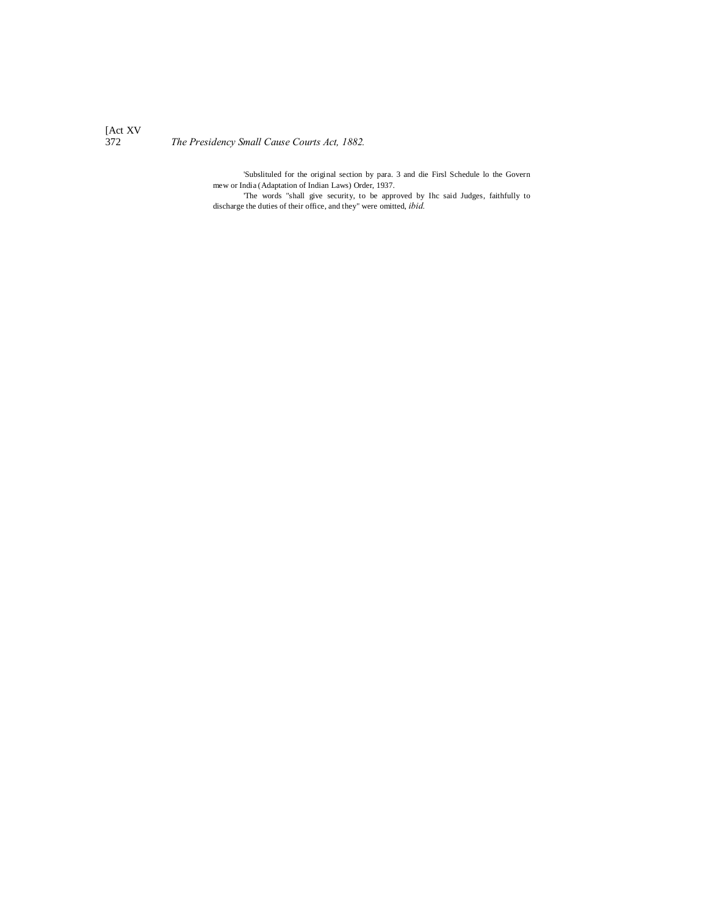[Act XV

372 *The Presidency Small Cause Courts Act, 1882.*

'Subslituled for the original section by para. 3 and die Firsl Schedule lo the Govern mew or India (Adaptation of Indian Laws) Order, 1937. 'The words "shall give security, to be approved by Ihc said Judges, faithfully to

discharge the duties of their office, and they" were omitted, *ibid.*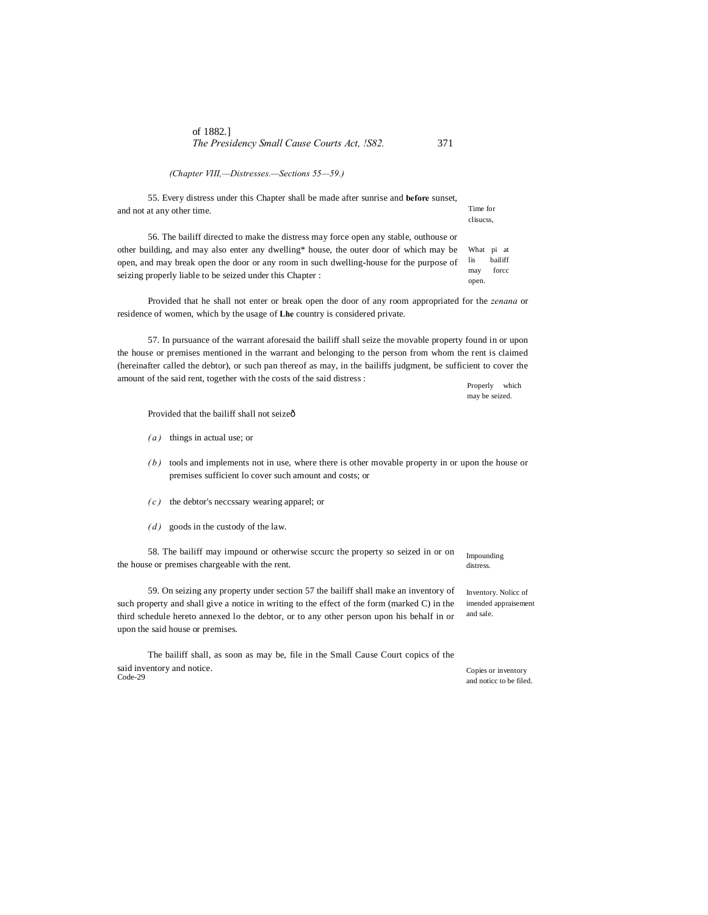| of 1882.                                     |     |
|----------------------------------------------|-----|
| The Presidency Small Cause Courts Act, !S82. | 371 |

*(Chapter VIII,—Distresses.—Sections 55—59.)*

55. Every distress under this Chapter shall be made after sunrise and **before** sunset, and not at any other time.

What pi at lis bailiff may forcc open. 56. The bailiff directed to make the distress may force open any stable, outhouse or other building, and may also enter any dwelling\* house, the outer door of which may be open, and may break open the door or any room in such dwelling-house for the purpose of seizing properly liable to be seized under this Chapter :

Provided that he shall not enter or break open the door of any room appropriated for the *zenana* or residence of women, which by the usage of **Lhe** country is considered private.

57. In pursuance of the warrant aforesaid the bailiff shall seize the movable property found in or upon the house or premises mentioned in the warrant and belonging to the person from whom the rent is claimed (hereinafter called the debtor), or such pan thereof as may, in the bailiffs judgment, be sufficient to cover the amount of the said rent, together with the costs of the said distress :

Properly which may be seized.

Provided that the bailiff shall not seizeô

- *( a )* things in actual use; or
- *( b )* tools and implements not in use, where there is other movable property in or upon the house or premises sufficient lo cover such amount and costs; or
- *( c )* the debtor's neccssary wearing apparel; or
- *(d)* goods in the custody of the law.

58. The bailiff may impound or otherwise sccurc the property so seized in or on the house or premises chargeable with the rent.

59. On seizing any property under section 57 the bailiff shall make an inventory of such property and shall give a notice in writing to the effect of the form (marked C) in the third schedule hereto annexed lo the debtor, or to any other person upon his behalf in or upon the said house or premises.

The bailiff shall, as soon as may be, file in the Small Cause Court copics of the said inventory and notice. Code-29

Impounding distress.

Inventory. Nolicc of imended appraisement and sale.

Copies or inventory and noticc to be filed.

Time for clisucss,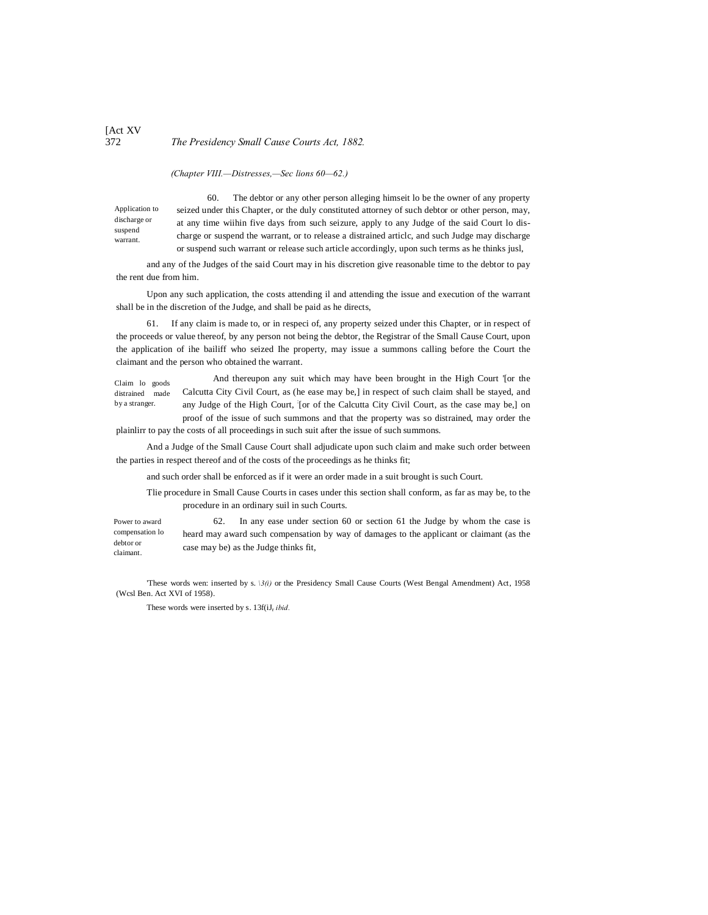### [Act XV 372 *The Presidency Small Cause Courts Act, 1882.*

*(Chapter VIII.—Distresses,—Sec lions 60—62.)*

Application to discharge or suspend warrant.

60. The debtor or any other person alleging himseit lo be the owner of any property seized under this Chapter, or the duly constituted attorney of such debtor or other person, may, at any time wiihin five days from such seizure, apply to any Judge of the said Court lo discharge or suspend the warrant, or to release a distrained articlc, and such Judge may discharge or suspend such warrant or release such article accordingly, upon such terms as he thinks jusl,

and any of the Judges of the said Court may in his discretion give reasonable time to the debtor to pay the rent due from him.

Upon any such application, the costs attending il and attending the issue and execution of the warrant shall be in the discretion of the Judge, and shall be paid as he directs,

61. If any claim is made to, or in respeci of, any property seized under this Chapter, or in respect of the proceeds or value thereof, by any person not being the debtor, the Registrar of the Small Cause Court, upon the application of ihe bailiff who seized Ihe property, may issue a summons calling before the Court the claimant and the person who obtained the warrant.

Claim lo goods distrained made by a stranger. And thereupon any suit which may have been brought in the High Court '[or the Calcutta City Civil Court, as (he ease may be,] in respect of such claim shall be stayed, and any Judge of the High Court, : [or of the Calcutta City Civil Court, as the case may be,] on proof of the issue of such summons and that the property was so distrained, may order the

plainlirr to pay the costs of all proceedings in such suit after the issue of such summons.

And a Judge of the Small Cause Court shall adjudicate upon such claim and make such order between the parties in respect thereof and of the costs of the proceedings as he thinks fit;

and such order shall be enforced as if it were an order made in a suit brought is such Court.

Tlie procedure in Small Cause Courts in cases under this section shall conform, as far as may be, to the procedure in an ordinary suil in such Courts.

Power to award compensation lo debtor or claimant. 62. In any ease under section 60 or section 61 the Judge by whom the case is heard may award such compensation by way of damages to the applicant or claimant (as the case may be) as the Judge thinks fit,

'These words wen: inserted by s. *\3(i)* or the Presidency Small Cause Courts (West Bengal Amendment) Act, 1958 (Wcsl Ben. Act XVI of 1958).

These words were inserted by s. 13f(iJ<sub>r</sub> *ibid.*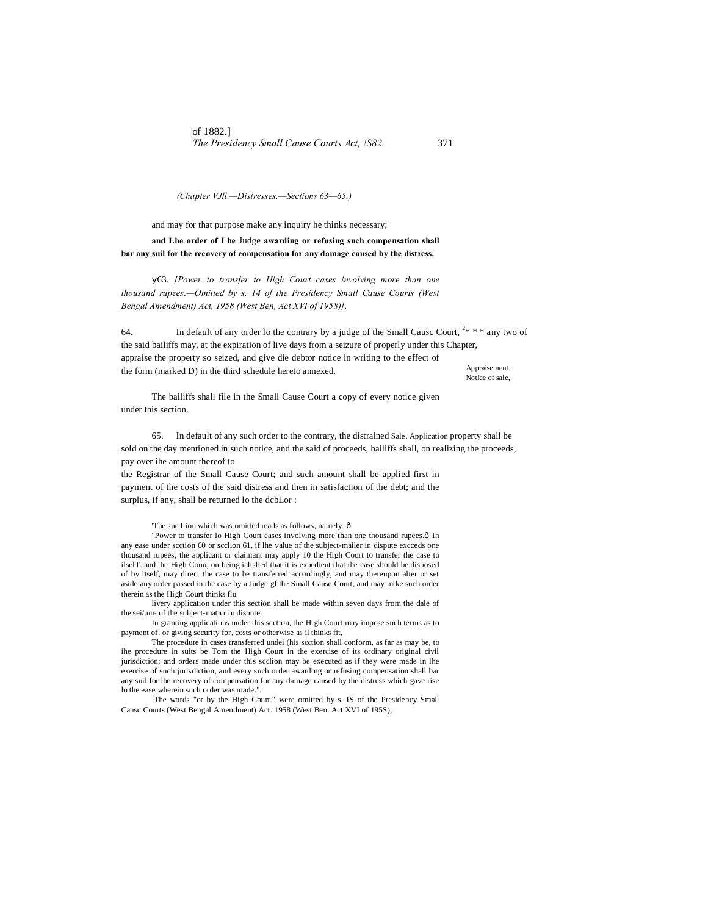of 1882.] *The Presidency Small Cause Courts Act, !S82.* 371

*(Chapter VJll.—Distresses.—Sections 63—65.)*

and may for that purpose make any inquiry he thinks necessary;

**and Lhe order of Lhe** Judge **awarding or refusing such compensation shall bar any suil for the recovery of compensation for any damage caused by the distress.**

63. *[Power to transfer to High Court cases involving more than one thousand rupees.—Omitted by s. 14 of the Presidency Small Cause Courts (West Bengal Amendment) Act, 1958 (West Ben, Act XVI of 1958)].*

Appraisement. Notice of sale, 64. In default of any order lo the contrary by a judge of the Small Causc Court,  $2^* * *$  any two of the said bailiffs may, at the expiration of live days from a seizure of properly under this Chapter, appraise the property so seized, and give die debtor notice in writing to the effect of the form (marked D) in the third schedule hereto annexed.

The bailiffs shall file in the Small Cause Court a copy of every notice given under this section.

65. In default of any such order to the contrary, the distrained Sale. Application property shall be sold on the day mentioned in such notice, and the said of proceeds, bailiffs shall, on realizing the proceeds, pay over ihe amount thereof to

the Registrar of the Small Cause Court; and such amount shall be applied first in payment of the costs of the said distress and then in satisfaction of the debt; and the surplus, if any, shall be returned lo the dcbLor :

'The sue I ion which was omitted reads as follows, namely :ô

"Power to transfer lo High Court eases involving more than one thousand rupees.ô In any ease under scction 60 or scclion 61, if lhe value of the subject-mailer in dispute excceds one thousand rupees, the applicant or claimant may apply 10 the High Court to transfer the case to ilselT. and the High Coun, on being ialislied that it is expedient that the case should be disposed of by itself, may direct the case to be transferred accordingly, and may thereupon alter or set aside any order passed in the case by a Judge gf the Small Cause Court, and may mike such order therein as the High Court thinks flu

livery application under this section shall be made within seven days from the dale of the sei/.ure of the subject-maticr in dispute.

In granting applications under this section, the High Court may impose such terms as to payment of. or giving security for, costs or otherwise as il thinks fit,

The procedure in cases transferred undei (his scction shall conform, as far as may be, to ihe procedure in suits be Tom the High Court in the exercise of its ordinary original civil jurisdiction; and orders made under this scclion may be executed as if they were made in lhe exercise of such jurisdiction, and every such order awarding or refusing compensation shall bar any suil for lhe recovery of compensation for any damage caused by the distress which gave rise lo the ease wherein such order was made.".<br><sup>J</sup>The words "or by the High Court." were omitted by s. IS of the Presidency Small

Causc Courts (West Bengal Amendment) Act. 1958 (West Ben. Act XVI of 195S),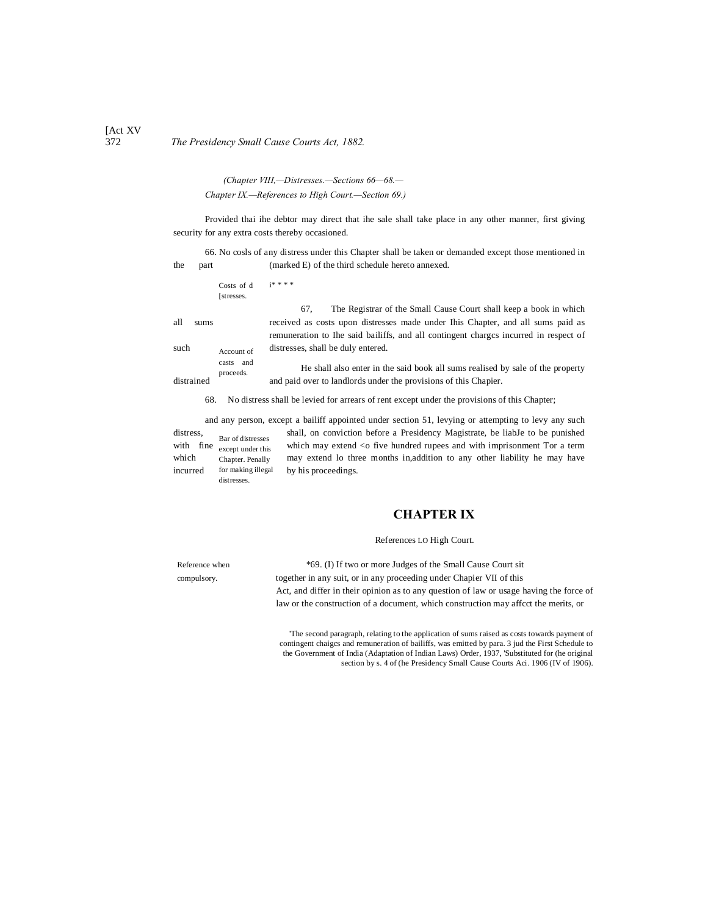# 372 *The Presidency Small Cause Courts Act, 1882.*

*(Chapter VIII,—Distresses.—Sections 66—68.— Chapter IX.—References to High Court.—Section 69.)*

Provided thai ihe debtor may direct that ihe sale shall take place in any other manner, first giving security for any extra costs thereby occasioned.

66. No cosls of any distress under this Chapter shall be taken or demanded except those mentioned in the part (marked E) of the third schedule hereto annexed.

|                    | Costs of d<br>[stresses.             | <b>i****</b>                                                                                                                                                                                                  |
|--------------------|--------------------------------------|---------------------------------------------------------------------------------------------------------------------------------------------------------------------------------------------------------------|
|                    |                                      | The Registrar of the Small Cause Court shall keep a book in which<br>67.                                                                                                                                      |
| all<br>sums        |                                      | received as costs upon distresses made under Ihis Chapter, and all sums paid as<br>remuneration to Ihe said bailiffs, and all contingent charges incurred in respect of<br>distresses, shall be duly entered. |
| such<br>distrained | Account of<br>casts and<br>proceeds. | He shall also enter in the said book all sums realised by sale of the property<br>and paid over to landlords under the provisions of this Chapier.                                                            |
| 68.                |                                      | No distress shall be levied for arrears of rent except under the provisions of this Chapter;                                                                                                                  |

and any person, except a bailiff appointed under section 51, levying or attempting to levy any such

Bar of distresses with  $\int$  fine  $\int$  except under this Chapter. Penally for making illegal distresses. incurred for making illegal by his proceedings.

distress, shall, on conviction before a Presidency Magistrate, be liabJe to be punished which may extend  $\leq$  five hundred rupees and with imprisonment Tor a term which Chapter. Penally may extend lo three months in,addition to any other liability he may have

# **CHAPTER IX**

### References LO High Court.

Reference when \*69. (I) If two or more Judges of the Small Cause Court sit compulsory. together in any suit, or in any proceeding under Chapier VII of this Act, and differ in their opinion as to any question of law or usage having the force of law or the construction of a document, which construction may affcct the merits, or

> 'The second paragraph, relating to the application of sums raised as costs towards payment of contingent chaigcs and remuneration of bailiffs, was emitted by para. 3 jud the First Schedule to the Government of India (Adaptation of Indian Laws) Order, 1937, 'Substituted for (he original section by s. 4 of (he Presidency Small Cause Courts Aci. 1906 (IV of 1906).

[Act XV]<br>372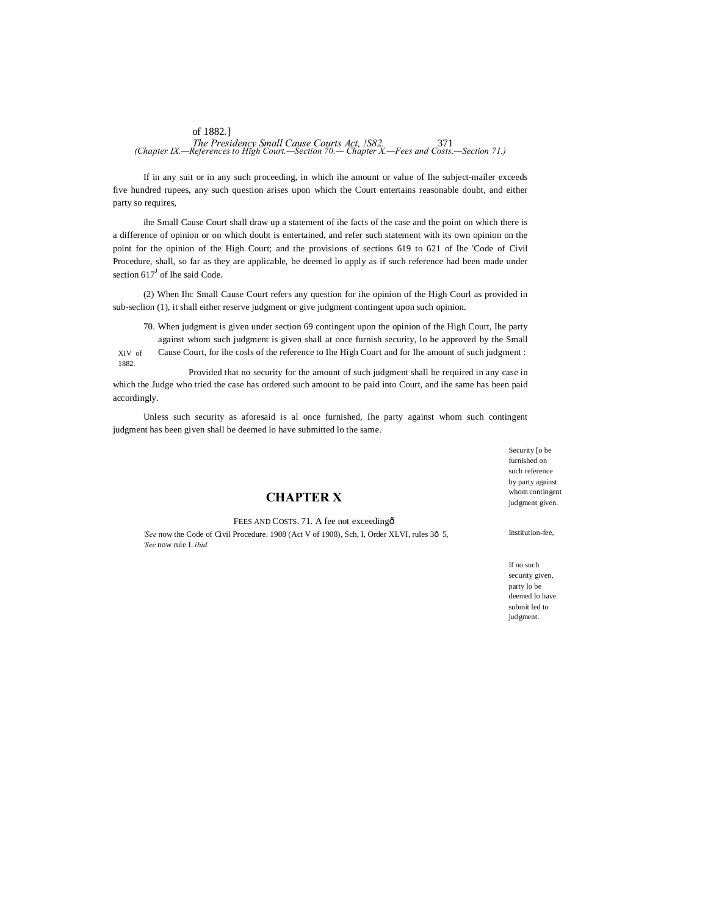# of 1882.] *The Presidency Small Cause Courts Act, !S82.* 371 *(Chapter IX.—References to High Court.—Section 70.— Chapter X.—Fees and Costs.—Section 71.)*

If in any suit or in any such proceeding, in which ihe amount or value of Ihe subject-mailer exceeds five hundred rupees, any such question arises upon which the Court entertains reasonable doubt, and either party so requires,

ihe Small Cause Court shall draw up a statement of ihe facts of the case and the point on which there is a difference of opinion or on which doubt is entertained, and refer such statement with its own opinion on the point for the opinion of the High Court; and the provisions of sections 619 to 621 of Ihe 'Code of Civil Procedure, shall, so far as they are applicable, be deemed lo apply as if such reference had been made under section  $617<sup>J</sup>$  of Ihe said Code.

(2) When Ihc Small Cause Court refers any question for ihe opinion of the High Courl as provided in sub-seclion (1), it shall either reserve judgment or give judgment contingent upon such opinion.

70. When judgment is given under section 69 contingent upon the opinion of the High Court, Ihe party

XIV of 1882. against whom such judgment is given shall at once furnish security, lo be approved by the Small Cause Court, for ihe cosls of the reference to Ihe High Court and for Ihe amount of such judgment :

Provided that no security for the amount of such judgment shall be required in any case in which the Judge who tried the case has ordered such amount to be paid into Court, and ihe same has been paid accordingly.

Unless such security as aforesaid is al once furnished, Ihe party against whom such contingent judgment has been given shall be deemed lo have submitted lo the same.

# **CHAPTER X**

FEES AND COSTS. 71. A fee not exceedingô

*'See* now the Code of Civil Procedure. 1908 (Act V of 1908), Sch, I, Order XLVI, rules 30 5, *'See* now rule I. *ibid.*

Security [o be furnished on such reference by party against whom contingent judgment given.

Institution-fee,

If no such security given, party lo be deemed lo have submit led to judgment.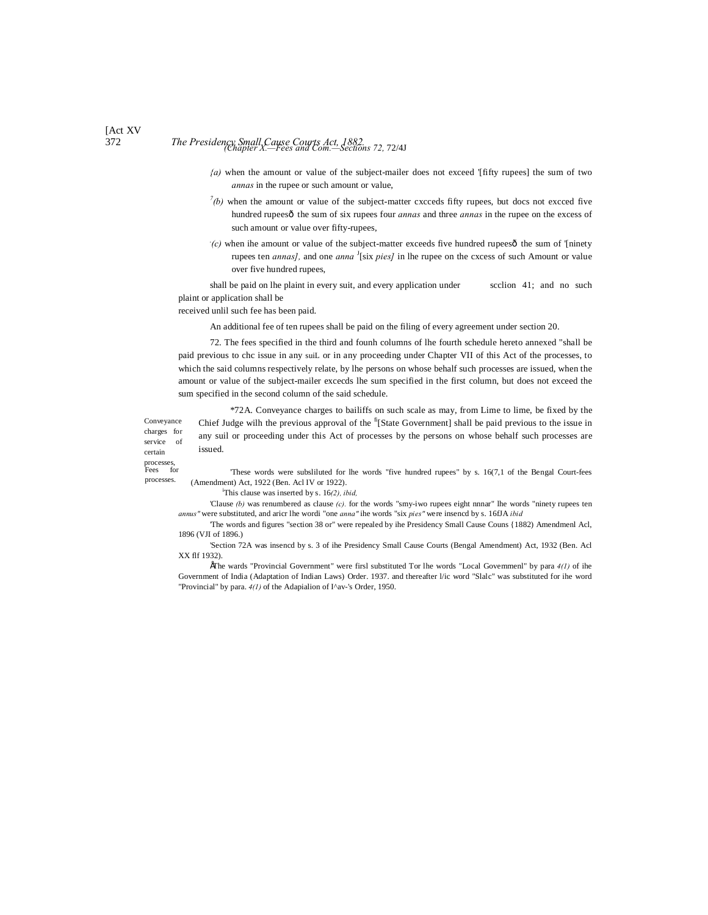# 372 *The Presidency Small Cause Courts Act, 1882. (Chapter X.—Fees and Com.—Sections 72,* 72/4J

- *{a)* when the amount or value of the subject-mailer does not exceed '[fifty rupees] the sum of two *annas* in the rupee or such amount or value,
- $^7$ (b) when the amount or value of the subject-matter cxcceds fifty rupees, but docs not excced five hundred rupeesô the sum of six rupees four *annas* and three *annas* in the rupee on the excess of such amount or value over fifty-rupees,
- $\dot{c}$ ) when ihe amount or value of the subject-matter exceeds five hundred rupees $\hat{o}$  the sum of '[ninety rupees ten *annas]*, and one *anna* <sup>J</sup>[six *pies]* in lhe rupee on the cxcess of such Amount or value over five hundred rupees,

shall be paid on lhe plaint in every suit, and every application under scclion 41; and no such plaint or application shall be

received unlil such fee has been paid.

An additional fee of ten rupees shall be paid on the filing of every agreement under section 20.

72. The fees specified in the third and founh columns of lhe fourth schedule hereto annexed "shall be paid previous to chc issue in any suiL or in any proceeding under Chapter VII of this Act of the processes, to which the said columns respectively relate, by lhe persons on whose behalf such processes are issued, when the amount or value of the subject-mailer excecds lhe sum specified in the first column, but does not exceed the sum specified in the second column of the said schedule.

Conveyance charges for service of \*72A. Conveyance charges to bailiffs on such scale as may, from Lime to lime, be fixed by the Chief Judge wilh the previous approval of the  $\mathrm{f}_1$ [State Government] shall be paid previous to the issue in any suil or proceeding under this Act of processes by the persons on whose behalf such processes are issued.

certain

processes, Fees for processes.

'These words were subsliluted for lhe words "five hundred rupees" by s. 16(7,1 of the Bengal Court-fees (Amendment) Act, 1922 (Ben. Acl IV or 1922).

i This clause was inserted by s. 16*(2), ibid,*

'Clause *(b)* was renumbered as clause *(c).* for the words "smy-iwo rupees eight nnnar" lhe words "ninety rupees ten *annus"* were substituted, and aricr lhe wordi "one *anna"* ihe words "six *pies"* were insencd by s. 16fJA *ibid*

'The words and figures "section 38 or" were repealed by ihe Presidency Small Cause Couns {1882) Amendmenl Acl, 1896 (VJI of 1896.)

'Section 72A was insencd by s. 3 of ihe Presidency Small Cause Courts (Bengal Amendment) Act, 1932 (Ben. Acl XX flf 1932).

•The wards "Provincial Government" were firsl substituted Tor lhe words "Local Govemmenl" by para *4(1)* of ihe Government of India (Adaptation of Indian Laws) Order. 1937. and thereafter l/ic word "Slalc" was substituted for ihe word "Provincial" by para. *4(1)* of the Adapialion of I^av-'s Order, 1950.

# [Act XV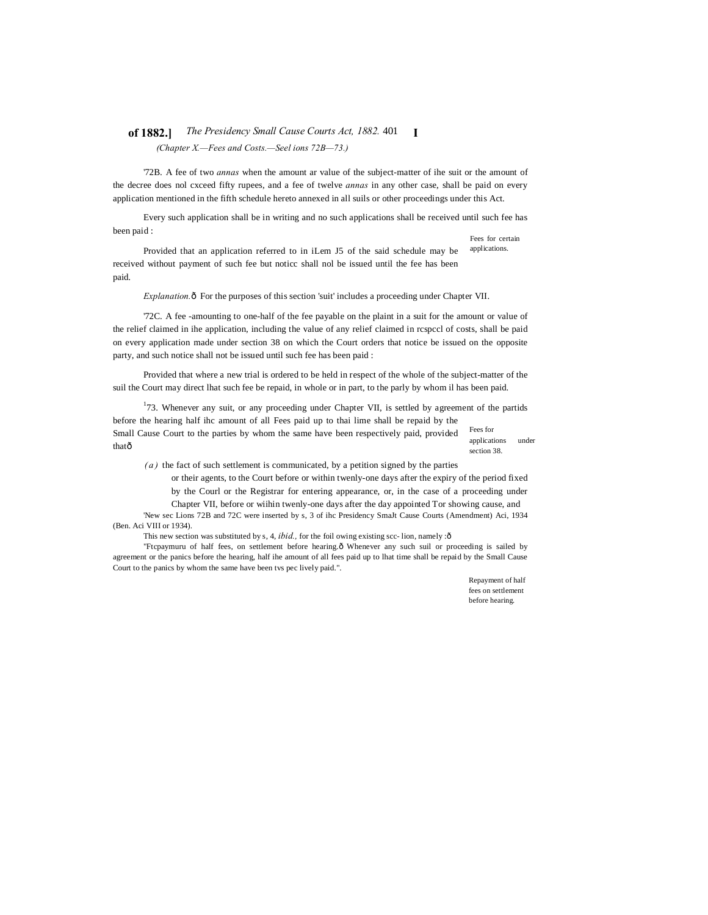### **of 1882.]** *The Presidency Small Cause Courts Act, 1882.* 401 **I** *(Chapter X.—Fees and Costs.—Seel ions 72B—73.)*

'72B. A fee of two *annas* when the amount ar value of the subject-matter of ihe suit or the amount of the decree does nol cxceed fifty rupees, and a fee of twelve *annas* in any other case, shall be paid on every application mentioned in the fifth schedule hereto annexed in all suils or other proceedings under this Act.

Fees for certain Every such application shall be in writing and no such applications shall be received until such fee has been paid :

applications. Provided that an application referred to in iLem J5 of the said schedule may be received without payment of such fee but noticc shall nol be issued until the fee has been paid.

*Explanation.* $\hat{o}$  For the purposes of this section 'suit' includes a proceeding under Chapter VII.

'72C. A fee -amounting to one-half of the fee payable on the plaint in a suit for the amount or value of the relief claimed in ihe application, including the value of any relief claimed in rcspccl of costs, shall be paid on every application made under section 38 on which the Court orders that notice be issued on the opposite party, and such notice shall not be issued until such fee has been paid :

Provided that where a new trial is ordered to be held in respect of the whole of the subject-matter of the suil the Court may direct lhat such fee be repaid, in whole or in part, to the parly by whom il has been paid.

Fees for  $173$ . Whenever any suit, or any proceeding under Chapter VII, is settled by agreement of the partids before the hearing half ihc amount of all Fees paid up to thai lime shall be repaid by the Small Cause Court to the parties by whom the same have been respectively paid, provided thatô

applications under section 38.

*( a )* the fact of such settlement is communicated, by a petition signed by the parties

or their agents, to the Court before or within twenly-one days after the expiry of the period fixed by the Courl or the Registrar for entering appearance, or, in the case of a proceeding under

Chapter VII, before or wiihin twenly-one days after the day appointed Tor showing cause, and 'New sec Lions 72B and 72C were inserted by s, 3 of ihc Presidency SmaJt Cause Courts (Amendment) Aci, 1934 (Ben. Aci VIII or 1934).

This new section was substituted by s, 4, *ibid.*, for the foil owing existing scc- lion, namely : ô

"Ftcpaymuru of half fees, on settlement before hearing. $ô$  Whenever any such suil or proceeding is sailed by agreement or the panics before the hearing, half ihe amount of all fees paid up to lhat time shall be repaid by the Small Cause Court to the panics by whom the same have been tvs pec lively paid.".

> Repayment of half fees on settlement before hearing.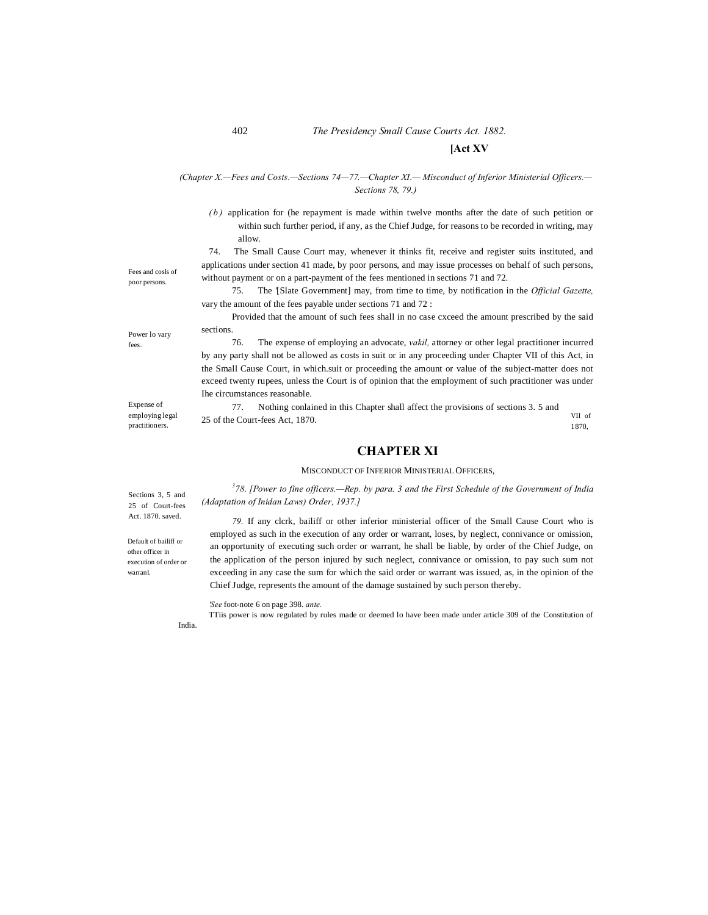# 402 *The Presidency Small Cause Courts Act. 1882.* **[Act XV**

### *(Chapter X.—Fees and Costs.—Sections 74—77.—Chapter XI.— Misconduct of Inferior Ministerial Officers.— Sections 78, 79.)*

*( b )* application for (he repayment is made within twelve months after the date of such petition or within such further period, if any, as the Chief Judge, for reasons to be recorded in writing, may allow.

74. The Small Cause Court may, whenever it thinks fit, receive and register suits instituted, and applications under section 41 made, by poor persons, and may issue processes on behalf of such persons, without payment or on a part-payment of the fees mentioned in sections 71 and 72.

75. The '[Slate Government] may, from time to time, by notification in the *Official Gazette,* vary the amount of the fees payable under sections 71 and 72 :

Provided that the amount of such fees shall in no case cxceed the amount prescribed by the said sections.

76. The expense of employing an advocate, *vakil,* attorney or other legal practitioner incurred by any party shall not be allowed as costs in suit or in any proceeding under Chapter VII of this Act, in the Small Cause Court, in which.suit or proceeding the amount or value of the subject-matter does not exceed twenty rupees, unless the Court is of opinion that the employment of such practitioner was under Ihe circumstances reasonable.

VII of 1870, 77. Nothing conlained in this Chapter shall affect the provisions of sections 3. 5 and 25 of the Court-fees Act, 1870.

# **CHAPTER XI**

MISCONDUCT OF INFERIOR MINISTERIAL OFFICERS,

*3 78. [Power to fine officers.—Rep. by para. 3 and the First Schedule of the Government of India (Adaptation of Inidan Laws) Order, 1937.]*

*79.* If any clcrk, bailiff or other inferior ministerial officer of the Small Cause Court who is employed as such in the execution of any order or warrant, loses, by neglect, connivance or omission, an opportunity of executing such order or warrant, he shall be liable, by order of the Chief Judge, on the application of the person injured by such neglect, connivance or omission, to pay such sum not exceeding in any case the sum for which the said order or warrant was issued, as, in the opinion of the Chief Judge, represents the amount of the damage sustained by such person thereby.

#### *'See* foot-note 6 on page 398. *ante.*

TTiis power is now regulated by rules made or deemed lo have been made under article 309 of the Constitution of

Fees and cosls of poor persons.

Power lo vary fees.

Expense of employing legal practitioners.

Sections 3, 5 and 25 of Court-fees Act. 1870. saved.

Default of bailiff or other officer in execution of order or warranl.

India.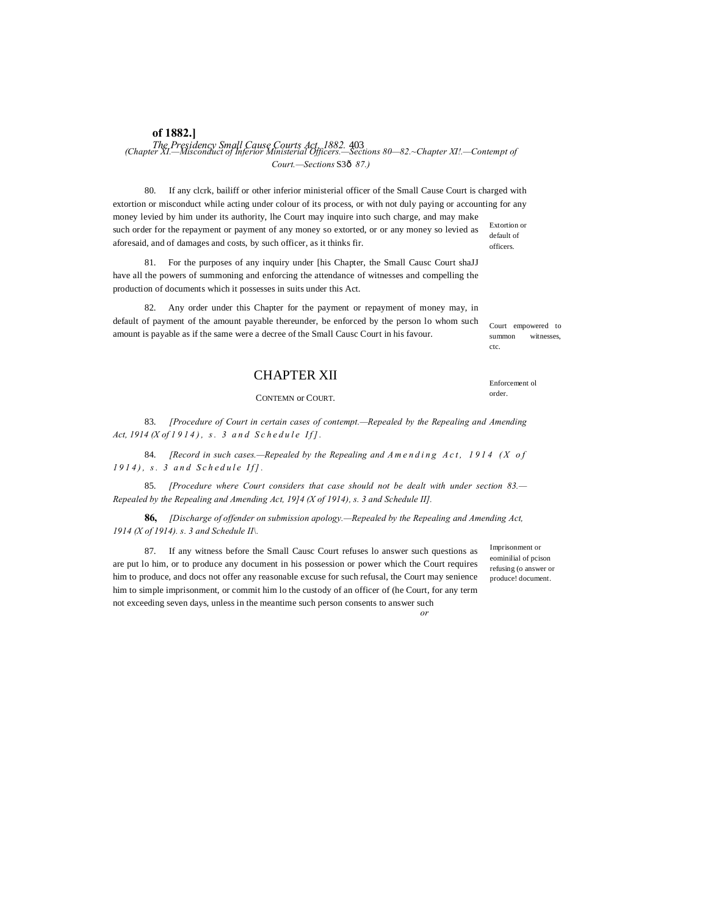# **of 1882.]** *The Presidency Small Cause Courts Act. 1882.* 403 *(Chapter XI.—Misconduct of Inferior Ministerial Officers.—Sections 80—82.~Chapter XI!.—Contempt of Court.—Sections* S3—*87.)*

Extortion or default of officers. 80. If any clcrk, bailiff or other inferior ministerial officer of the Small Cause Court is charged with extortion or misconduct while acting under colour of its process, or with not duly paying or accounting for any money levied by him under its authority, lhe Court may inquire into such charge, and may make such order for the repayment or payment of any money so extorted, or or any money so levied as aforesaid, and of damages and costs, by such officer, as it thinks fir.

81. For the purposes of any inquiry under [his Chapter, the Small Causc Court shaJJ have all the powers of summoning and enforcing the attendance of witnesses and compelling the production of documents which it possesses in suits under this Act.

82. Any order under this Chapter for the payment or repayment of money may, in default of payment of the amount payable thereunder, be enforced by the person lo whom such amount is payable as if the same were a decree of the Small Causc Court in his favour.

# CHAPTER XII

CONTEMN or COURT.

83. *[Procedure of Court in certain cases of contempt.—Repealed by the Repealing and Amending Act, 1914 (X of 1914), s. 3 and Schedule If].* 

84. *[Record in such cases.—Repealed by the Repealing and A mending Act, 1914 (X of 1914*), s. 3 and Schedule If].

85. *[Procedure where Court considers that case should not be dealt with under section 83.— Repealed by the Repealing and Amending Act, 19]4 (X of 1914), s. 3 and Schedule II].*

**86,** *[Discharge of offender on submission apology.—Repealed by the Repealing and Amending Act, 1914 (X of 1914). s. 3 and Schedule II\.*

87. If any witness before the Small Causc Court refuses lo answer such questions as are put lo him, or to produce any document in his possession or power which the Court requires him to produce, and docs not offer any reasonable excuse for such refusal, the Court may senience him to simple imprisonment, or commit him lo the custody of an officer of (he Court, for any term not exceeding seven days, unless in the meantime such person consents to answer such

Imprisonment or eominilial of pcison refusing (o answer or produce! document.

*or*

Court empowered to summon witnesses. ctc.

Enforcement ol order.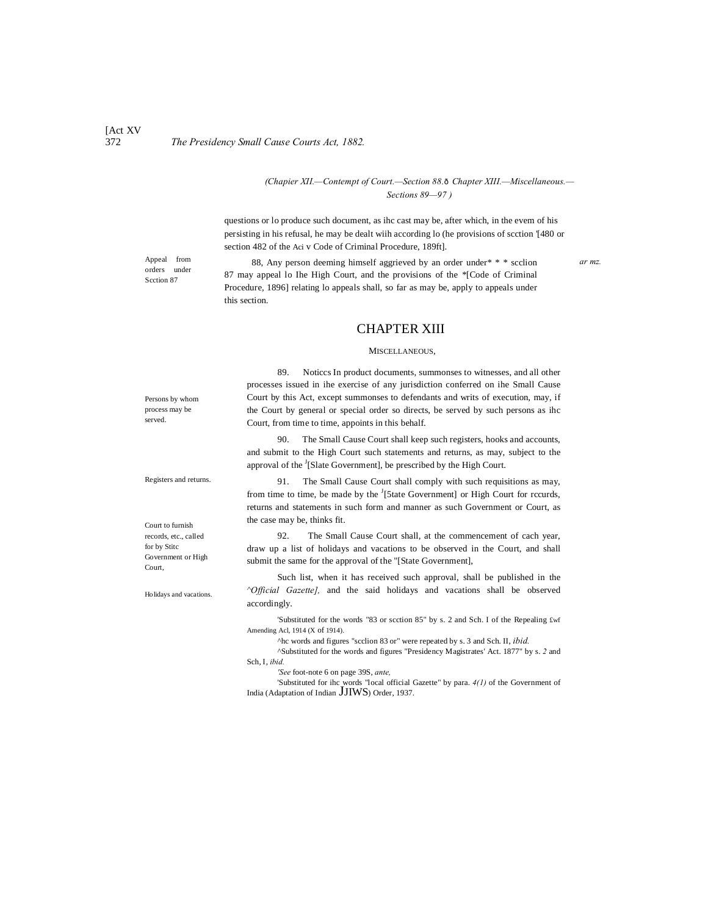### *(Chapier XII.—Contempt of Court.—Section 88.6 Chapter XIII.—Miscellaneous.— Sections 89—97 )*

questions or lo produce such document, as ihc cast may be, after which, in the evem of his persisting in his refusal, he may be dealt wiih according lo (he provisions of scction '[480 or section 482 of the Aci v Code of Criminal Procedure, 189ft].

orders under Scction 87

Appeal from **88**, Any person deeming himself aggrieved by an order under\* \* \* scclion ar mz. 87 may appeal lo Ihe High Court, and the provisions of the \*[Code of Criminal Procedure, 1896] relating lo appeals shall, so far as may be, apply to appeals under this section.

### CHAPTER XIII

### MISCELLANEOUS,

89. Noticcs In product documents, summonses to witnesses, and all other processes issued in ihe exercise of any jurisdiction conferred on ihe Small Cause Court by this Act, except summonses to defendants and writs of execution, may, if the Court by general or special order so directs, be served by such persons as ihc Court, from time to time, appoints in this behalf.

90. The Small Cause Court shall keep such registers, hooks and accounts, and submit to the High Court such statements and returns, as may, subject to the approval of the <sup>J</sup>[Slate Government], be prescribed by the High Court.

91. The Small Cause Court shall comply with such requisitions as may, from time to time, be made by the <sup>J</sup>[5tate Government] or High Court for rccurds, returns and statements in such form and manner as such Government or Court, as the case may be, thinks fit.

92. The Small Cause Court shall, at the commencement of cach year, draw up a list of holidays and vacations to be observed in the Court, and shall submit the same for the approval of the "[State Government],

Such list, when it has received such approval, shall be published in the *^Official Gazette],* and the said holidays and vacations shall be observed accordingly.

'Substituted for the words "83 or scction 85" by s. 2 and Sch. I of the Repealing £wf Amending Acl, 1914 (X of 1914).

^hc words and figures "scclion 83 or" were repeated by s. 3 and Sch. II, *ibid.*

^Substituted for the words and figures "Presidency Magistrates' Act. 1877" by s. *2* and Sch, I, *ibid.*

*'See* foot-note 6 on page 39S, *ante,*

'Substituted for ihc words "local official Gazette" by para. *4(1)* of the Government of India (Adaptation of Indian JJIWS) Order, 1937.

Persons by whom process may be served.

Registers and returns.

Court to furnish records, etc., called for by Stitc Government or High Court,

Holidays and vacations.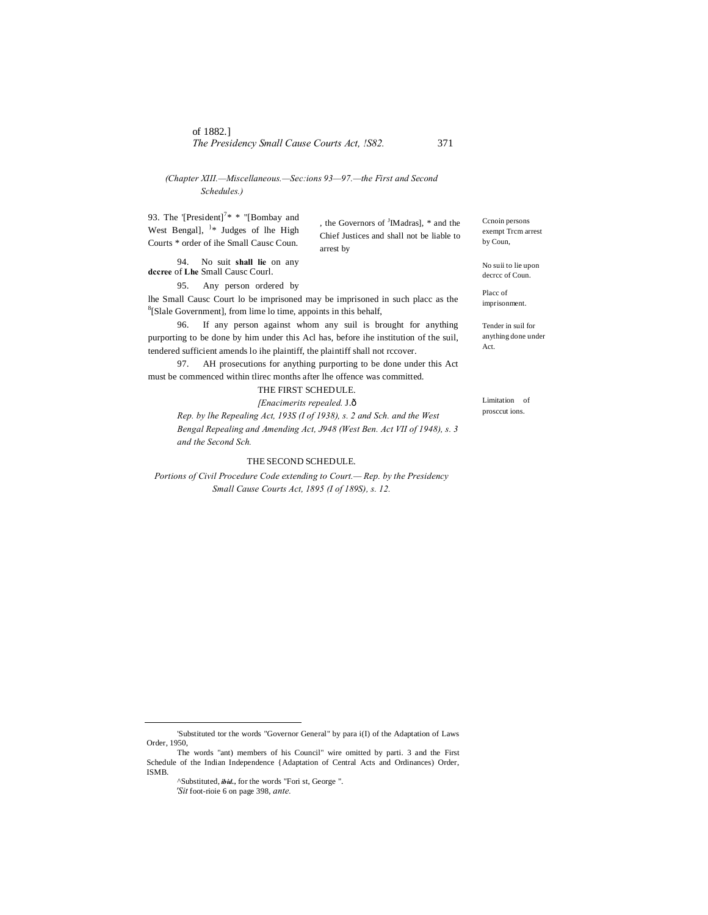*(Chapter XIII.—Miscellaneous.—Sec:ions 93—97.—the First and Second Schedules.)*

93. The '[President]<sup>7\*</sup> \* "[Bombay and West Bengal],  $\frac{1}{2}$  Judges of lhe High Courts \* order of ihe Small Causc Coun.

, the Governors of <sup>J</sup>IMadras], \* and the Chief Justices and shall not be liable to arrest by

94. No suit **shall lie** on any **dccree** of **Lhe** Small Causc Courl.

95. Any person ordered by

lhe Small Causc Court lo be imprisoned may be imprisoned in such placc as the 8  ${}^{8}$ [Slale Government], from lime lo time, appoints in this behalf,

96. If any person against whom any suil is brought for anything purporting to be done by him under this Acl has, before ihe institution of the suil, tendered sufficient amends lo ihe plaintiff, the plaintiff shall not rccover.

97. AH prosecutions for anything purporting to be done under this Act must be commenced within tlirec months after lhe offence was committed.

THE FIRST SCHEDULE.

*[Enacimerits repealed.* J.—

*Rep. by lhe Repealing Act, 193S (I of 1938), s. 2 and Sch. and the West Bengal Repealing and Amending Act, J948 (West Ben. Act VII of 1948), s. 3 and the Second Sch.*

### THE SECOND SCHEDULE.

*Portions of Civil Procedure Code extending to Court.— Rep. by the Presidency Small Cause Courts Act, 1895 (I of 189S), s. 12.*

Ccnoin persons exempt Trcm arrest by Coun,

No suii to lie upon decrcc of Coun.

Placc of imprisonment.

Tender in suil for anything done under Act.

Limitation of prosccut ions.

 <sup>&#</sup>x27;Substituted tor the words "Governor General" by para i(I) of the Adaptation of Laws Order, 1950,

The words "ant) members of his Council" wire omitted by parti. 3 and the First Schedule of the Indian Independence {Adaptation of Central Acts and Ordinances) Order, ISMB.

<sup>^</sup>Substituted, *ibid.,* for the words "Fori st, George ".

*<sup>&#</sup>x27;Sit* foot-rioie 6 on page 398, *ante.*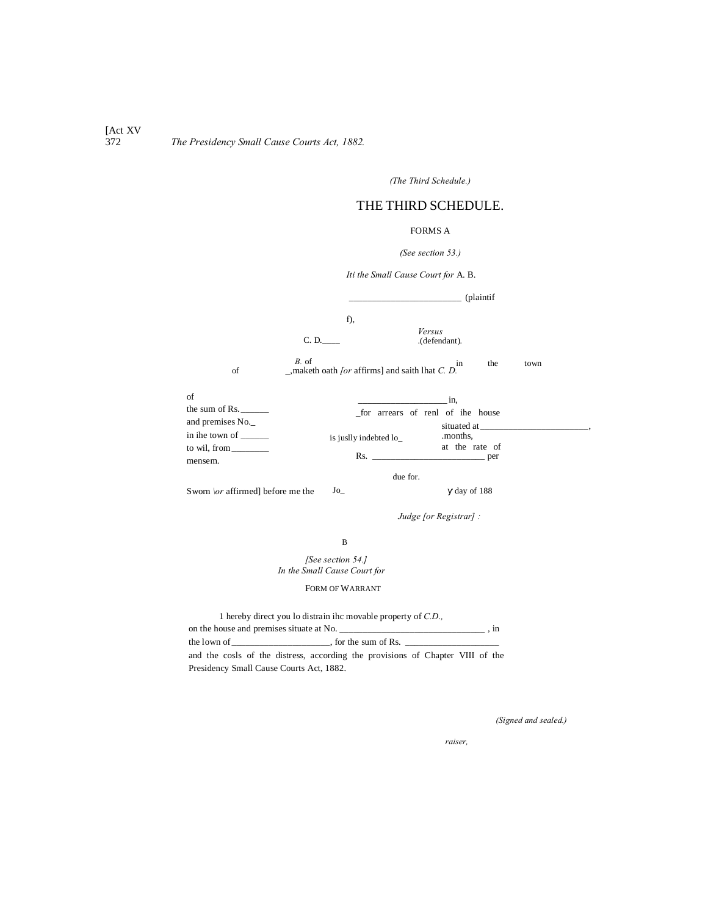[Act XV]<br>372 372 *The Presidency Small Cause Courts Act, 1882.*

*(The Third Schedule.)*

# THE THIRD SCHEDULE.

### FORMS A

### *(See section 53.)*

*Iti the Small Cause Court for* A. B.

.(defendant). the town C. D.\_\_\_\_ *B.* of \_,maketh oath *[or* affirms] and saith lhat *C. D.* of  $Jo$ is juslly indebted lo\_ due for. day of 188 \_\_\_\_\_\_\_\_\_\_\_\_\_\_\_\_\_\_\_\_\_\_\_\_ (plaintif f), *Versus* of the sum of Rs. and premises No.\_ in ihe town of \_\_\_\_\_\_ to wil, from mensem.  $\sin$ , \_for arrears of renl of ihe house situated at\_ .months, at the rate of<br>
<u>per</u>  $Rs.$ Sworn *\or* affirmed] before me the *Judge [or Registrar] :*

### B

*[See section 54.] In the Small Cause Court for*

FORM OF WARRANT

| 1 hereby direct you lo distrain ihe movable property of C.D.                   |  |
|--------------------------------------------------------------------------------|--|
| on the house and premises situate at No.                                       |  |
|                                                                                |  |
| and the cosls of the distress, according the provisions of Chapter VIII of the |  |
| Presidency Small Cause Courts Act, 1882.                                       |  |

*(Signed and sealed.)*

*E. F., Bailiff and Appraiser,*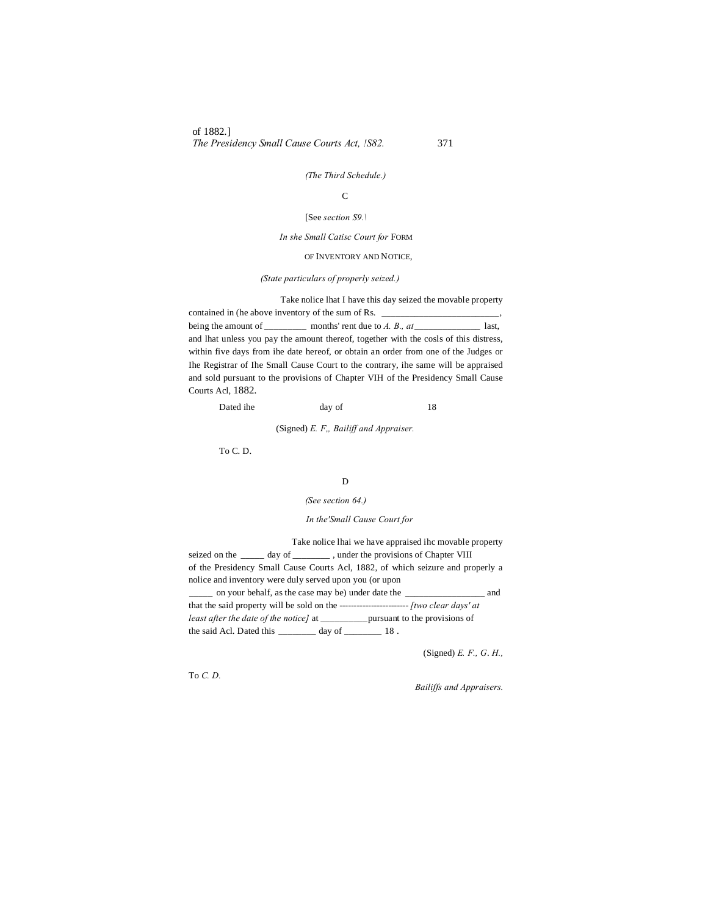of 1882.] *The Presidency Small Cause Courts Act, !S82.* 371

### *(The Third Schedule.)*

### C

### [See *section S9.\*

### *In she Small Catisc Court for* FORM

### OF INVENTORY AND NOTICE,

### *(State particulars of properly seized.)*

Take nolice lhat I have this day seized the movable property contained in (he above inventory of the sum of Rs.  $\overline{\phantom{a}}$ being the amount of \_\_\_\_\_\_\_\_\_\_\_ months' rent due to *A. B., at* \_\_\_\_\_\_\_\_\_\_\_\_\_\_\_\_ last, and lhat unless you pay the amount thereof, together with the cosls of this distress, within five days from ihe date hereof, or obtain an order from one of the Judges or Ihe Registrar of Ihe Small Cause Court to the contrary, ihe same will be appraised and sold pursuant to the provisions of Chapter VIH of the Presidency Small Cause Courts Acl, 1882.

Dated ihe day of 18

(Signed) *E. F" Bailiff and Appraiser.*

To C. D.

### D

### *(See section 64.)*

### *In the'Small Cause Court for*

Take nolice lhai we have appraised ihc movable property seized on the \_\_\_\_\_ day of \_\_\_\_\_\_\_\_ , under the provisions of Chapter VIII of the Presidency Small Cause Courts Acl, 1882, of which seizure and properly a nolice and inventory were duly served upon you (or upon \_\_\_\_\_ on your behalf, as the case may be) under date the \_\_\_\_\_\_\_\_\_\_\_\_\_\_\_\_\_ and that the said property will be sold on the ------------------------*[two clear days' at least after the date of the notice]* at \_\_\_\_\_\_\_\_\_\_pursuant to the provisions of the said Acl. Dated this \_\_\_\_\_\_\_\_ day of \_\_\_\_\_\_\_\_ 18 .

(Signed) *E. F., G*. *H.,*

To *C. D.*

*Bailiffs and Appraisers.*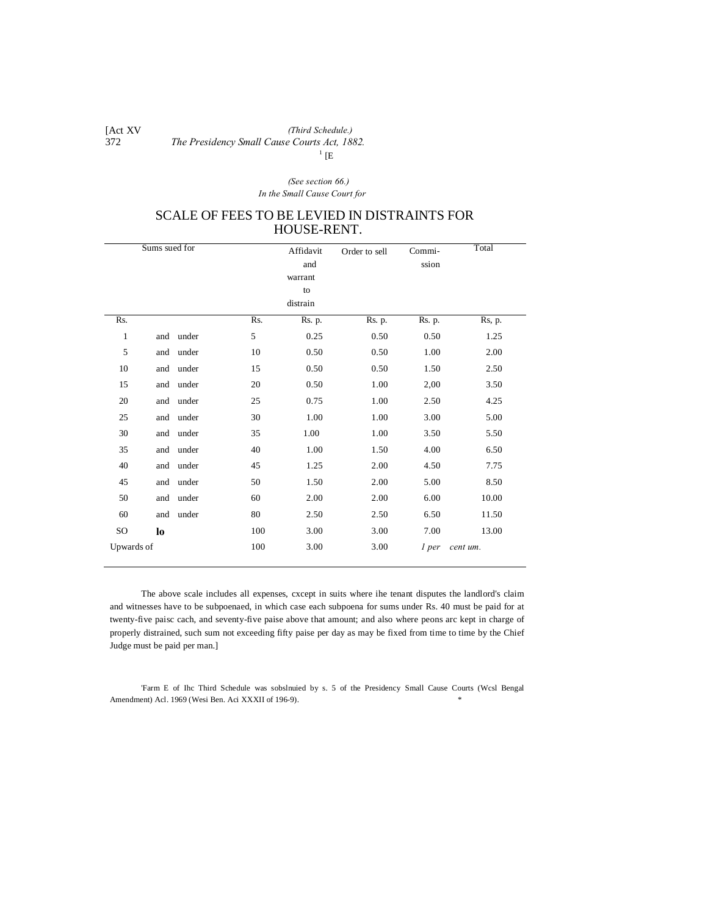#### [Act XV]<br>372 372 *The Presidency Small Cause Courts Act, 1882. (Third Schedule.)*  $1$  [E

### *(See section 66.) In the Small Cause Court for*

# SCALE OF FEES TO BE LEVIED IN DISTRAINTS FOR HOUSE-RENT.

|              | Sums sued for |       |     | Affidavit | Order to sell | Commi- | Total    |
|--------------|---------------|-------|-----|-----------|---------------|--------|----------|
|              |               |       |     | and       |               | ssion  |          |
|              |               |       |     | warrant   |               |        |          |
|              |               |       |     | to        |               |        |          |
|              |               |       |     | distrain  |               |        |          |
| Rs.          |               |       | Rs. | Rs. p.    | Rs. p.        | Rs. p. | Rs, p.   |
| $\mathbf{1}$ | and           | under | 5   | 0.25      | 0.50          | 0.50   | 1.25     |
| 5            | and           | under | 10  | 0.50      | 0.50          | 1.00   | 2.00     |
| 10           | and           | under | 15  | 0.50      | 0.50          | 1.50   | 2.50     |
| 15           | and           | under | 20  | 0.50      | 1.00          | 2,00   | 3.50     |
| 20           | and           | under | 25  | 0.75      | 1.00          | 2.50   | 4.25     |
| 25           | and           | under | 30  | 1.00      | 1.00          | 3.00   | 5.00     |
| 30           | and           | under | 35  | 1.00      | 1.00          | 3.50   | 5.50     |
| 35           | and           | under | 40  | 1.00      | 1.50          | 4.00   | 6.50     |
| 40           | and           | under | 45  | 1.25      | 2.00          | 4.50   | 7.75     |
| 45           | and           | under | 50  | 1.50      | 2.00          | 5.00   | 8.50     |
| 50           | and           | under | 60  | 2.00      | 2.00          | 6.00   | 10.00    |
| 60           | and           | under | 80  | 2.50      | 2.50          | 6.50   | 11.50    |
| SO           | lo            |       | 100 | 3.00      | 3.00          | 7.00   | 13.00    |
| Upwards of   |               |       | 100 | 3.00      | 3.00          | 1 per  | cent um. |
|              |               |       |     |           |               |        |          |

The above scale includes all expenses, cxcept in suits where ihe tenant disputes the landlord's claim and witnesses have to be subpoenaed, in which case each subpoena for sums under Rs. 40 must be paid for at twenty-five paisc cach, and seventy-five paise above that amount; and also where peons arc kept in charge of properly distrained, such sum not exceeding fifty paise per day as may be fixed from time to time by the Chief Judge must be paid per man.]

'Farm E of Ihc Third Schedule was sobslnuied by s. 5 of the Presidency Small Cause Courts (Wcsl Bengal Amendment) Acl. 1969 (Wesi Ben. Aci XXXII of 196-9). \*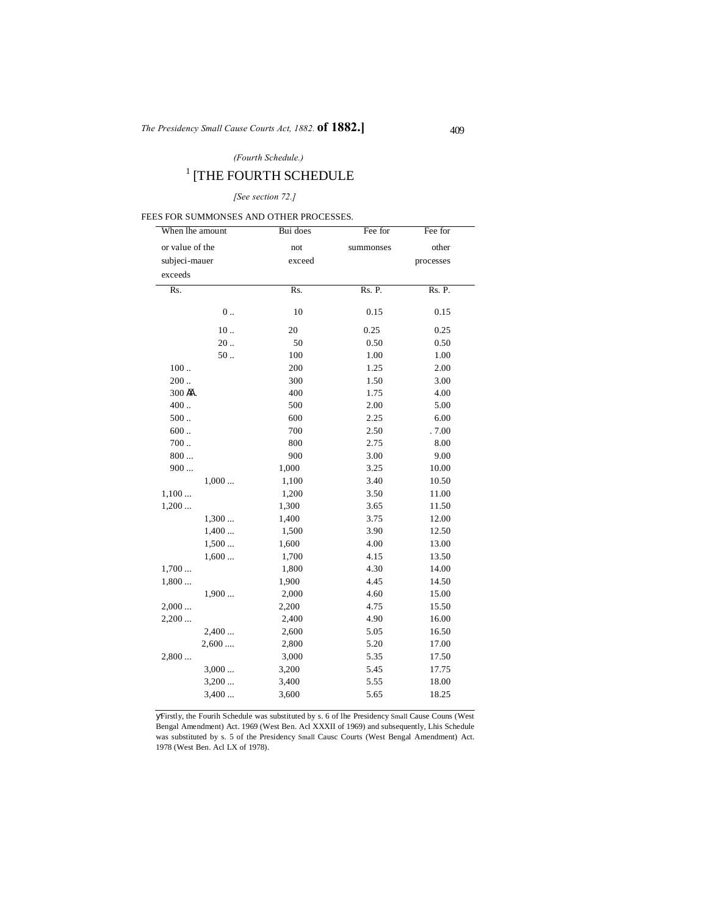### *(Fourth Schedule.)*

# $^{\rm 1}$  [THE FOURTH SCHEDULE

### *[See section 72.]*

### FEES FOR SUMMONSES AND OTHER PROCESSES.

| When lhe amount | Bui does | Fee for   | Fee for   |
|-----------------|----------|-----------|-----------|
| or value of the | not      | summonses | other     |
| subjeci-mauer   | exceed   |           | processes |
| exceeds         |          |           |           |
| Rs.             | Rs.      | Rs. P.    | Rs. P.    |
|                 |          |           |           |
| $0$             | 10       | 0.15      | 0.15      |
| $10$            | 20       | 0.25      | 0.25      |
| 20.             | 50       | 0.50      | 0.50      |
| $50$ .          | 100      | 1.00      | 1.00      |
| 100.            | 200      | 1.25      | 2.00      |
| 200.            | 300      | 1.50      | 3.00      |
| 300 隹.          | 400      | 1.75      | 4.00      |
| 400             | 500      | 2.00      | 5.00      |
| 500.            | 600      | 2.25      | 6.00      |
| 600             | 700      | 2.50      | .7.00     |
| $700$           | 800      | 2.75      | 8.00      |
| $800\dots$      | 900      | 3.00      | 9.00      |
| 900             | 1,000    | 3.25      | 10.00     |
| 1,000           | 1,100    | 3.40      | 10.50     |
| 1,100           | 1,200    | 3.50      | 11.00     |
| 1,200           | 1,300    | 3.65      | 11.50     |
| 1,300           | 1,400    | 3.75      | 12.00     |
| 1,400           | 1,500    | 3.90      | 12.50     |
| 1,500           | 1,600    | 4.00      | 13.00     |
| 1,600           | 1,700    | 4.15      | 13.50     |
| 1,700           | 1,800    | 4.30      | 14.00     |
| 1,800           | 1,900    | 4.45      | 14.50     |
| 1,900           | 2,000    | 4.60      | 15.00     |
| 2,000           | 2,200    | 4.75      | 15.50     |
| 2,200           | 2,400    | 4.90      | 16.00     |
| 2,400           | 2,600    | 5.05      | 16.50     |
| 2,600           | 2,800    | 5.20      | 17.00     |
| 2,800           | 3,000    | 5.35      | 17.50     |
| 3,000           | 3,200    | 5.45      | 17.75     |
| 3,200           | 3,400    | 5.55      | 18.00     |
| 3,400           | 3,600    | 5.65      | 18.25     |

Firstly, the Fourih Schedule was substituted by s. 6 of lhe Presidency Small Cause Couns (West Bengal Amendment) Act. 1969 (West Ben. Acl XXXII of 1969) and subsequently, Lhis Schedule was substituted by s. 5 of the Presidency Small Causc Courts (West Bengal Amendment) Act. 1978 (West Ben. Acl LX of 1978).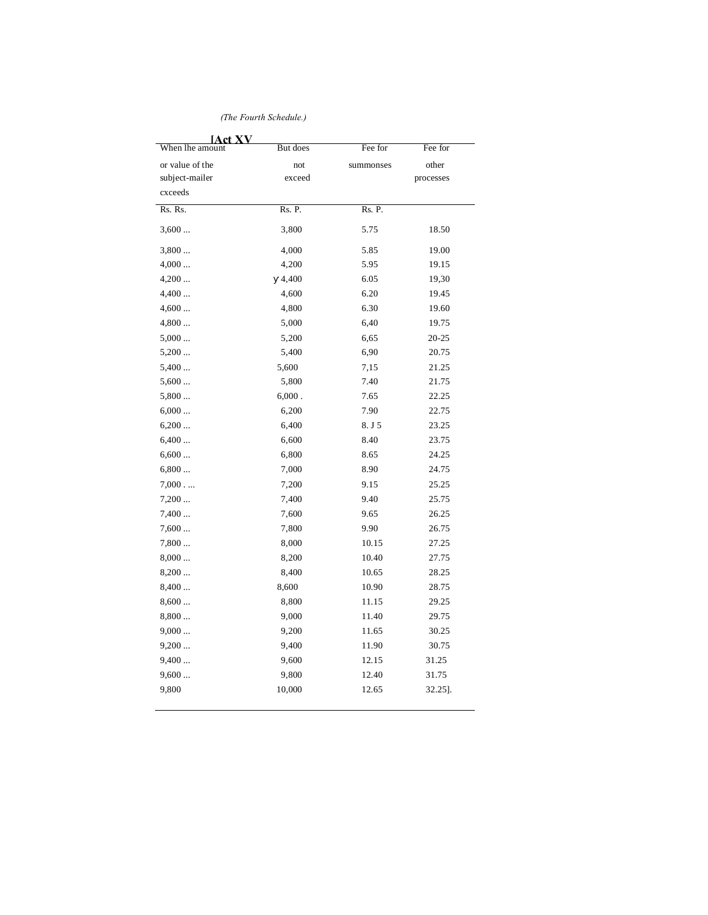*(The Fourth Schedule.)*

| <b>IAct XV</b>  |          |           |           |
|-----------------|----------|-----------|-----------|
| When lhe amount | But does | Fee for   | Fee for   |
| or value of the | not      | summonses | other     |
| subject-mailer  | exceed   |           | processes |
| cxceeds         |          |           |           |
| Rs. Rs.         | Rs. P.   | Rs. P.    |           |
| 3,600           | 3,800    | 5.75      | 18.50     |
| 3,800           | 4,000    | 5.85      | 19.00     |
| 4,000           | 4,200    | 5.95      | 19.15     |
| 4,200           | 4,400    | 6.05      | 19,30     |
| 4,400           | 4,600    | 6.20      | 19.45     |
| 4,600           | 4,800    | 6.30      | 19.60     |
| 4,800           | 5,000    | 6,40      | 19.75     |
| 5,000           | 5,200    | 6,65      | 20-25     |
| 5,200           | 5,400    | 6,90      | 20.75     |
| 5,400           | 5,600    | 7,15      | 21.25     |
| 5,600           | 5,800    | 7.40      | 21.75     |
| 5,800           | 6,000.   | 7.65      | 22.25     |
| 6,000           | 6,200    | 7.90      | 22.75     |
| 6,200           | 6,400    | 8.J5      | 23.25     |
| 6,400           | 6,600    | 8.40      | 23.75     |
| 6,600           | 6,800    | 8.65      | 24.25     |
| 6,800           | 7,000    | 8.90      | 24.75     |
| 7,000           | 7,200    | 9.15      | 25.25     |
| 7,200           | 7,400    | 9.40      | 25.75     |
| 7,400           | 7,600    | 9.65      | 26.25     |
| 7,600           | 7,800    | 9.90      | 26.75     |
| 7,800           | 8,000    | 10.15     | 27.25     |
| 8,000           | 8,200    | 10.40     | 27.75     |
| 8,200           | 8,400    | 10.65     | 28.25     |
| 8,400           | 8,600    | 10.90     | 28.75     |
| 8,600           | 8,800    | 11.15     | 29.25     |
| 8,800           | 9,000    | 11.40     | 29.75     |
| 9,000           | 9,200    | 11.65     | 30.25     |
| 9,200           | 9,400    | 11.90     | 30.75     |
| 9,400           | 9,600    | 12.15     | 31.25     |
| 9,600           | 9,800    | 12.40     | 31.75     |
| 9,800           | 10,000   | 12.65     | 32.25].   |
|                 |          |           |           |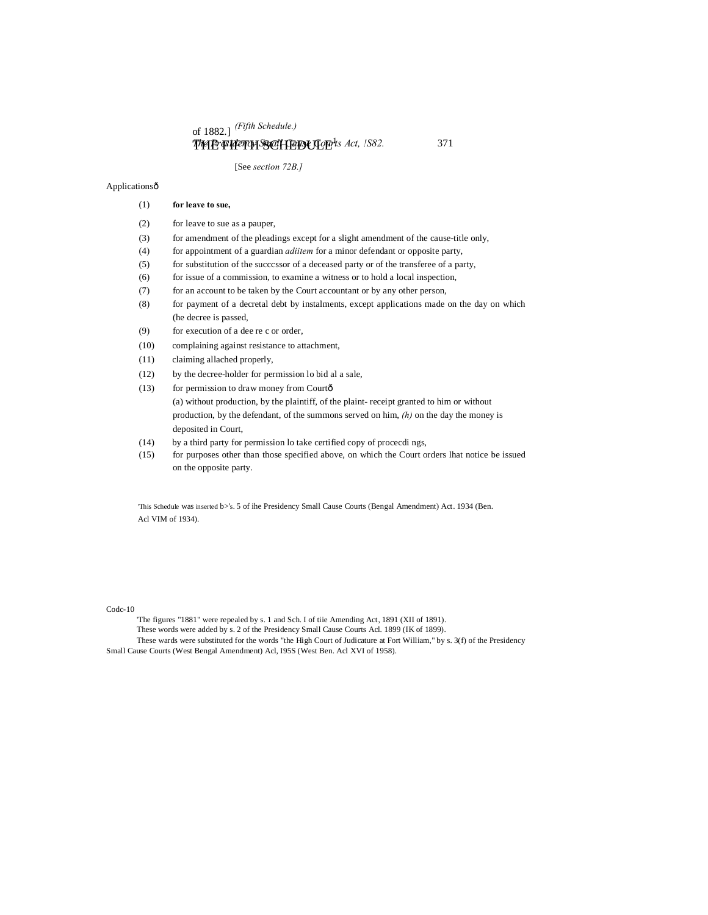of 1882.] *(Fifth Schedule.)*

# THE FIFTH SCHEDULE<sup>H</sup>s Act, !S82. 371

[See *section 72B.]*

### Applicationsô

| (2) | for leave to sue as a pauper,                                                          |
|-----|----------------------------------------------------------------------------------------|
| (3) | for amendment of the pleadings except for a slight amendment of the cause-title only,  |
| (4) | for appointment of a guardian <i>adition</i> for a minor defendant or opposite party,  |
| (5) | for substitution of the successor of a deceased party or of the transferee of a party, |
| (6) | for issue of a commission, to examine a witness or to hold a local inspection,         |
| (7) | for an account to be taken by the Court accountant or by any other person,             |
|     |                                                                                        |

- (8) for payment of a decretal debt by instalments, except applications made on the day on which (he decree is passed,
- (9) for execution of a dee re c or order,
- (10) complaining against resistance to attachment,
- (11) claiming allached properly,

(1) **for leave to sue,**

- (12) by the decree-holder for permission lo bid al a sale,
- (13) for permission to draw money from Courtô (a) without production, by the plaintiff, of the plaint- receipt granted to him or without production, by the defendant, of the summons served on him, *(h)* on the day the money is deposited in Court,
- (14) by a third party for permission lo take certified copy of procecdi ngs,
- (15) for purposes other than those specified above, on which the Court orders lhat notice be issued on the opposite party.

'This Schedule was inserted b>'s. 5 of ihe Presidency Small Cause Courts (Bengal Amendment) Act. 1934 (Ben. Acl VIM of 1934).

Codc-10

'The figures "1881" were repealed by s. 1 and Sch. I of tiie Amending Act, 1891 (XII of 1891). These words were added by s. 2 of the Presidency Small Cause Courts Acl. 1899 (IK of 1899). These wards were substituted for the words "the High Court of Judicature at Fort William," by s. 3(f) of the Presidency Small Cause Courts (West Bengal Amendment) Acl, I95S (West Ben. Acl XVI of 1958).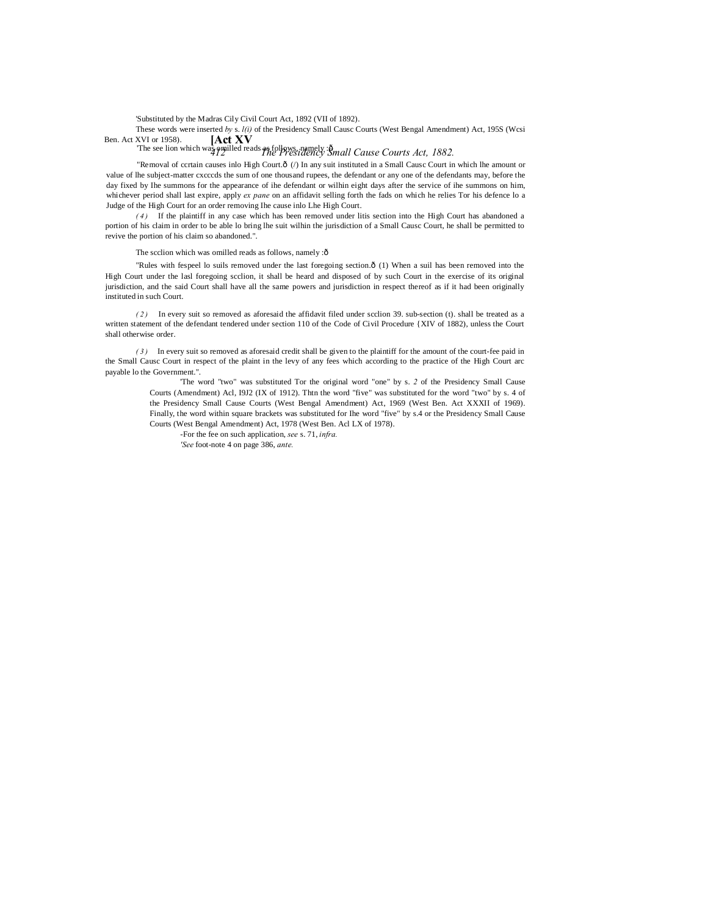'Substituted by the Madras Cily Civil Court Act, 1892 (VII of 1892).

**[Act XV** These words were inserted *by* s. *l(i)* of the Presidency Small Causc Courts (West Bengal Amendment) Act, 195S (Wcsi Ben. Act XVI or 1958).

The see lion which was omilled reads as follows, namely : $\hat{\mathbf{\theta}}$  *mall Cause Courts Act, 1882.* 

"Removal of ccrtain causes inlo High Court.ô (/) In any suit instituted in a Small Causc Court in which lhe amount or value of lhe subject-matter cxcccds the sum of one thousand rupees, the defendant or any one of the defendants may, before the day fixed by Ihe summons for the appearance of ihe defendant or wilhin eight days after the service of ihe summons on him, whichever period shall last expire, apply *ex pane* on an affidavit selling forth the fads on which he relies Tor his defence lo a Judge of the High Court for an order removing Ihe cause inlo Lhe High Court.

*( 4 )* If the plaintiff in any case which has been removed under litis section into the High Court has abandoned a portion of his claim in order to be able lo bring lhe suit wilhin the jurisdiction of a Small Causc Court, he shall be permitted to revive the portion of his claim so abandoned.".

The scclion which was omilled reads as follows, namely  $:\hat{\theta}$ 

"Rules with fespeel lo suils removed under the last foregoing section. $\hat{o}$  (1) When a suil has been removed into the High Court under the lasl foregoing scclion, it shall be heard and disposed of by such Court in the exercise of its original jurisdiction, and the said Court shall have all the same powers and jurisdiction in respect thereof as if it had been originally instituted in such Court.

*( 2 )* In every suit so removed as aforesaid the affidavit filed under scclion 39. sub-section (t). shall be treated as a written statement of the defendant tendered under section 110 of the Code of Civil Procedure {XIV of 1882), unless the Court shall otherwise order.

*( 3 )* In every suit so removed as aforesaid credit shall be given to the plaintiff for the amount of the court-fee paid in the Small Causc Court in respect of the plaint in the levy of any fees which according to the practice of the High Court arc payable lo the Government.".

> 'The word "two" was substituted Tor the original word "one" by s. *2* of the Presidency Small Cause Courts (Amendment) Acl, I9J2 (IX of 1912). Thtn the word "five" was substituted for the word "two" by s. 4 of the Presidency Small Cause Courts (West Bengal Amendment) Act, 1969 (West Ben. Act XXXII of 1969). Finally, the word within square brackets was substituted for Ihe word "five" by s.4 or the Presidency Small Cause Courts (West Bengal Amendment) Act, 1978 (West Ben. Acl LX of 1978).

-For the fee on such application, *see* s. 71, *infra. 'See* foot-note 4 on page 386, *ante.*